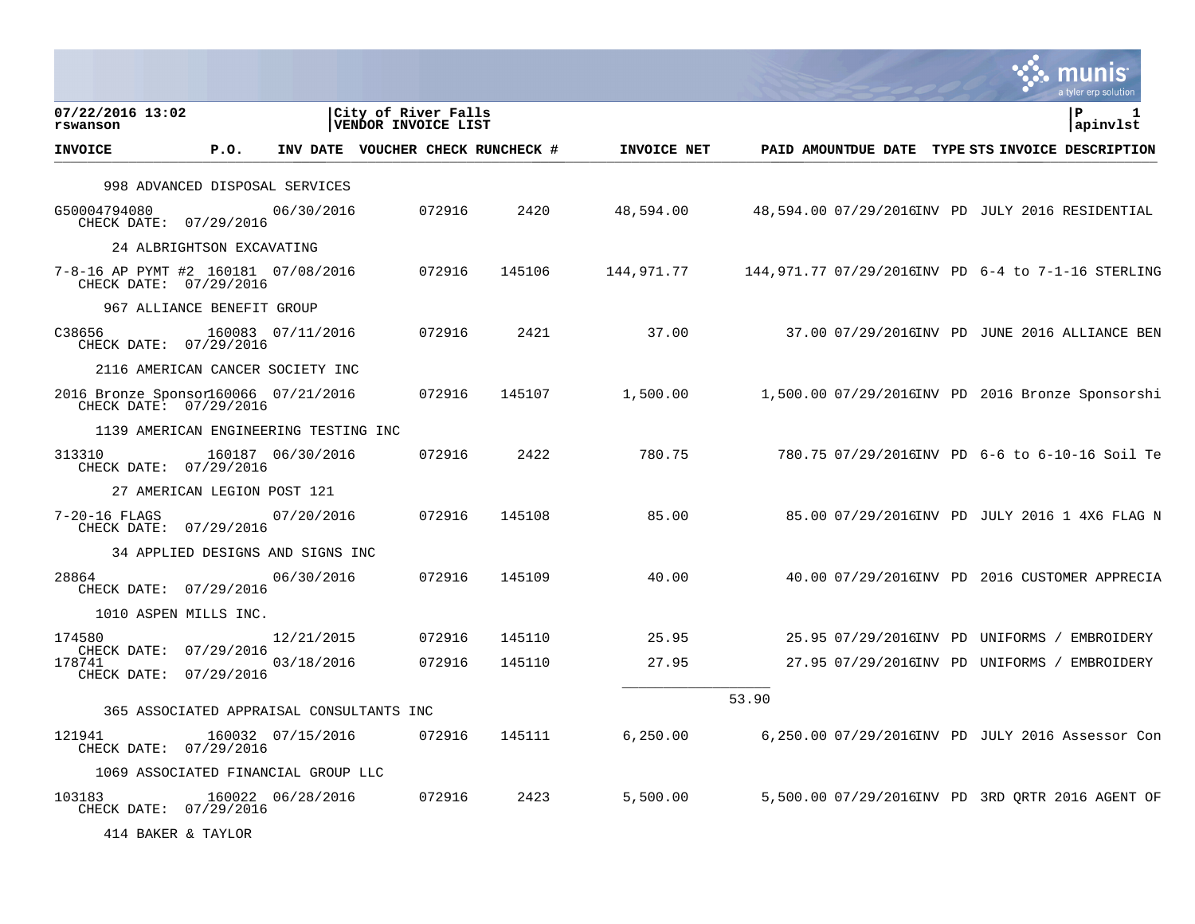|                                                                |            |                                  |                                            |                                   |             |                                                    |  | munis<br>a tyler erp solution                  |
|----------------------------------------------------------------|------------|----------------------------------|--------------------------------------------|-----------------------------------|-------------|----------------------------------------------------|--|------------------------------------------------|
| 07/22/2016 13:02<br>rswanson                                   |            |                                  | City of River Falls<br>VENDOR INVOICE LIST |                                   |             |                                                    |  | ΙP<br>apinvlst                                 |
| <b>INVOICE</b>                                                 | P.0.       |                                  |                                            | INV DATE VOUCHER CHECK RUNCHECK # | INVOICE NET | PAID AMOUNTDUE DATE TYPE STS INVOICE DESCRIPTION   |  |                                                |
| 998 ADVANCED DISPOSAL SERVICES                                 |            |                                  |                                            |                                   |             |                                                    |  |                                                |
| G50004794080<br>CHECK DATE: 07/29/2016                         |            | 06/30/2016                       | 072916                                     | 2420                              | 48,594.00   | 48,594.00 07/29/2016INV PD JULY 2016 RESIDENTIAL   |  |                                                |
| 24 ALBRIGHTSON EXCAVATING                                      |            |                                  |                                            |                                   |             |                                                    |  |                                                |
| 7-8-16 AP PYMT #2 160181 07/08/2016<br>CHECK DATE: 07/29/2016  |            |                                  | 072916                                     | 145106                            | 144,971.77  | 144,971.77 07/29/2016INV PD 6-4 to 7-1-16 STERLING |  |                                                |
| 967 ALLIANCE BENEFIT GROUP                                     |            |                                  |                                            |                                   |             |                                                    |  |                                                |
| C38656<br>CHECK DATE: 07/29/2016                               |            | 160083 07/11/2016                | 072916                                     | 2421                              | 37.00       |                                                    |  | 37.00 07/29/2016INV PD JUNE 2016 ALLIANCE BEN  |
| 2116 AMERICAN CANCER SOCIETY INC                               |            |                                  |                                            |                                   |             |                                                    |  |                                                |
| 2016 Bronze Sponsor160066 07/21/2016<br>CHECK DATE: 07/29/2016 |            |                                  | 072916                                     | 145107                            | 1,500.00    | 1,500.00 07/29/2016INV PD 2016 Bronze Sponsorshi   |  |                                                |
| 1139 AMERICAN ENGINEERING TESTING INC                          |            |                                  |                                            |                                   |             |                                                    |  |                                                |
| 313310<br>CHECK DATE: 07/29/2016                               |            | 160187 06/30/2016                | 072916                                     | 2422                              | 780.75      |                                                    |  | 780.75 07/29/2016INV PD 6-6 to 6-10-16 Soil Te |
| 27 AMERICAN LEGION POST 121                                    |            |                                  |                                            |                                   |             |                                                    |  |                                                |
| $7 - 20 - 16$ FLAGS<br>CHECK DATE: 07/29/2016                  |            | 07/20/2016                       | 072916                                     | 145108                            | 85.00       |                                                    |  | 85.00 07/29/2016INV PD JULY 2016 1 4X6 FLAG N  |
|                                                                |            | 34 APPLIED DESIGNS AND SIGNS INC |                                            |                                   |             |                                                    |  |                                                |
| 28864<br>CHECK DATE: 07/29/2016                                |            | 06/30/2016                       | 072916                                     | 145109                            | 40.00       |                                                    |  | 40.00 07/29/2016INV PD 2016 CUSTOMER APPRECIA  |
| 1010 ASPEN MILLS INC.                                          |            |                                  |                                            |                                   |             |                                                    |  |                                                |
| 174580                                                         |            | 12/21/2015                       | 072916                                     | 145110                            | 25.95       |                                                    |  | 25.95 07/29/2016INV PD UNIFORMS / EMBROIDERY   |
| CHECK DATE:<br>178741<br>CHECK DATE: 07/29/2016                | 07/29/2016 | 03/18/2016                       | 072916                                     | 145110                            | 27.95       |                                                    |  | 27.95 07/29/2016INV PD UNIFORMS / EMBROIDERY   |
|                                                                |            |                                  |                                            |                                   |             | 53.90                                              |  |                                                |
| 365 ASSOCIATED APPRAISAL CONSULTANTS INC                       |            |                                  |                                            |                                   |             |                                                    |  |                                                |
| 121941<br>CHECK DATE: 07/29/2016                               |            | 160032 07/15/2016                | 072916                                     | 145111                            | 6, 250.00   | 6,250.00 07/29/2016INV PD JULY 2016 Assessor Con   |  |                                                |
| 1069 ASSOCIATED FINANCIAL GROUP LLC                            |            |                                  |                                            |                                   |             |                                                    |  |                                                |
| 103183<br>CHECK DATE: 07/29/2016                               |            | 160022 06/28/2016                | 072916                                     | 2423                              | 5,500.00    | 5,500.00 07/29/2016INV PD 3RD ORTR 2016 AGENT OF   |  |                                                |
| 414 BAKER & TAYLOR                                             |            |                                  |                                            |                                   |             |                                                    |  |                                                |

 $\mathcal{L}$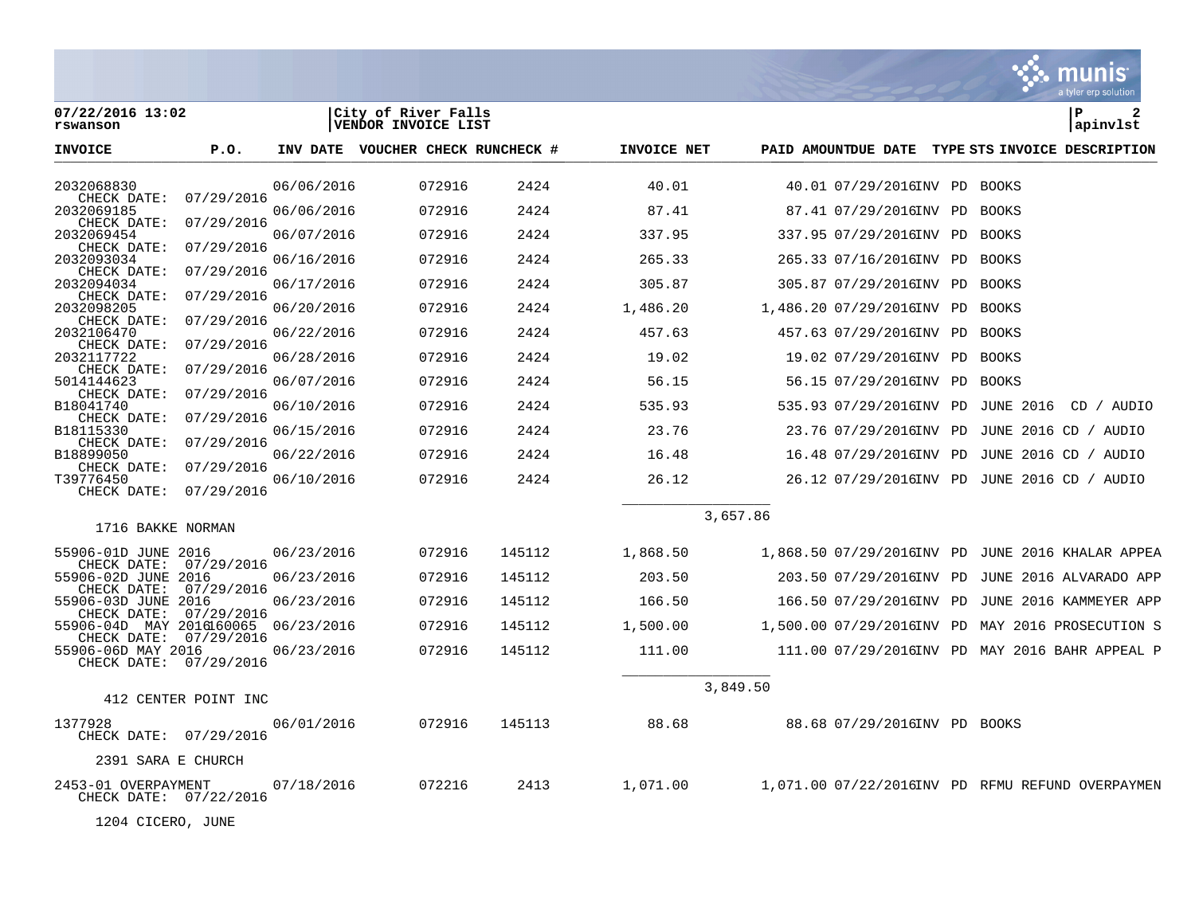|                                               |                      |            |                                            |        |             |          |                                             |                  | a tyler erp solution                             |
|-----------------------------------------------|----------------------|------------|--------------------------------------------|--------|-------------|----------|---------------------------------------------|------------------|--------------------------------------------------|
| 07/22/2016 13:02<br>rswanson                  |                      |            | City of River Falls<br>VENDOR INVOICE LIST |        |             |          |                                             |                  | l P<br>2<br> apinvlst                            |
| <b>INVOICE</b>                                | P.O.                 |            | INV DATE VOUCHER CHECK RUNCHECK #          |        | INVOICE NET |          | PAID AMOUNTDUE DATE                         |                  | TYPE STS INVOICE DESCRIPTION                     |
| 2032068830                                    |                      | 06/06/2016 | 072916                                     | 2424   | 40.01       |          | 40.01 07/29/2016INV PD                      | BOOKS            |                                                  |
| CHECK DATE:<br>2032069185                     | 07/29/2016           | 06/06/2016 | 072916                                     | 2424   | 87.41       |          | 87.41 07/29/2016INV PD                      | <b>BOOKS</b>     |                                                  |
| CHECK DATE:<br>2032069454                     | 07/29/2016           | 06/07/2016 | 072916                                     | 2424   | 337.95      |          | 337.95 07/29/2016INV PD                     | BOOKS            |                                                  |
| CHECK DATE:<br>2032093034                     | 07/29/2016           | 06/16/2016 | 072916                                     | 2424   | 265.33      |          | 265.33 07/16/2016INV PD                     | BOOKS            |                                                  |
| CHECK DATE:<br>2032094034                     | 07/29/2016           | 06/17/2016 | 072916                                     | 2424   | 305.87      |          | 305.87 07/29/2016INV PD                     | <b>BOOKS</b>     |                                                  |
| CHECK DATE:<br>2032098205                     | 07/29/2016           | 06/20/2016 | 072916                                     | 2424   | 1,486.20    |          | 1,486.20 07/29/2016INV PD                   | BOOKS            |                                                  |
| CHECK DATE:<br>2032106470                     | 07/29/2016           | 06/22/2016 | 072916                                     | 2424   | 457.63      |          | 457.63 07/29/2016INV PD                     | <b>BOOKS</b>     |                                                  |
| CHECK DATE:<br>2032117722                     | 07/29/2016           | 06/28/2016 | 072916                                     | 2424   | 19.02       |          | 19.02 07/29/2016INV PD                      | <b>BOOKS</b>     |                                                  |
| CHECK DATE:                                   | 07/29/2016           |            |                                            |        |             |          |                                             |                  |                                                  |
| 5014144623<br>CHECK DATE:                     | 07/29/2016           | 06/07/2016 | 072916                                     | 2424   | 56.15       |          | 56.15 07/29/2016INV PD                      | BOOKS            |                                                  |
| B18041740<br>CHECK DATE:                      | 07/29/2016           | 06/10/2016 | 072916                                     | 2424   | 535.93      |          | 535.93 07/29/2016INV PD                     | <b>JUNE 2016</b> | CD / AUDIO                                       |
| B18115330<br>CHECK DATE:                      | 07/29/2016           | 06/15/2016 | 072916                                     | 2424   | 23.76       |          | 23.76 07/29/2016INV PD                      |                  | JUNE 2016 CD / AUDIO                             |
| B18899050                                     | 07/29/2016           | 06/22/2016 | 072916                                     | 2424   | 16.48       |          | 16.48 07/29/2016INV PD                      |                  | JUNE 2016 CD / AUDIO                             |
| CHECK DATE:<br>T39776450                      |                      | 06/10/2016 | 072916                                     | 2424   | 26.12       |          | 26.12 07/29/2016INV PD JUNE 2016 CD / AUDIO |                  |                                                  |
| CHECK DATE:                                   | 07/29/2016           |            |                                            |        |             |          |                                             |                  |                                                  |
| 1716 BAKKE NORMAN                             |                      |            |                                            |        |             | 3,657.86 |                                             |                  |                                                  |
| 55906-01D JUNE 2016                           |                      | 06/23/2016 | 072916                                     | 145112 | 1,868.50    |          | 1,868.50 07/29/2016INV PD                   |                  | JUNE 2016 KHALAR APPEA                           |
| CHECK DATE:<br>55906-02D JUNE 2016            | 07/29/2016           | 06/23/2016 | 072916                                     | 145112 | 203.50      |          | 203.50 07/29/2016INV PD                     |                  | JUNE 2016 ALVARADO APP                           |
| CHECK DATE:<br>55906-03D JUNE                 | 07/29/2016<br>2016   | 06/23/2016 | 072916                                     | 145112 | 166.50      |          | 166.50 07/29/2016INV PD                     |                  | JUNE 2016 KAMMEYER APP                           |
| CHECK DATE:<br>55906-04D MAY 2016160065       | 07/29/2016           | 06/23/2016 | 072916                                     | 145112 | 1,500.00    |          | 1,500.00 07/29/2016INV PD                   |                  | MAY 2016 PROSECUTION S                           |
| CHECK DATE:<br>55906-06D MAY 2016             | 07/29/2016           | 06/23/2016 | 072916                                     | 145112 | 111.00      |          |                                             |                  | 111.00 07/29/2016INV PD MAY 2016 BAHR APPEAL P   |
| CHECK DATE:                                   | 07/29/2016           |            |                                            |        |             |          |                                             |                  |                                                  |
|                                               |                      |            |                                            |        |             | 3,849.50 |                                             |                  |                                                  |
|                                               | 412 CENTER POINT INC |            |                                            |        |             |          |                                             |                  |                                                  |
| 1377928<br>CHECK DATE: 07/29/2016             |                      | 06/01/2016 | 072916                                     | 145113 | 88.68       |          | 88.68 07/29/2016INV PD BOOKS                |                  |                                                  |
| 2391 SARA E CHURCH                            |                      |            |                                            |        |             |          |                                             |                  |                                                  |
| 2453-01 OVERPAYMENT<br>CHECK DATE: 07/22/2016 |                      | 07/18/2016 | 072216                                     | 2413   | 1,071.00    |          |                                             |                  | 1,071.00 07/22/2016INV PD RFMU REFUND OVERPAYMEN |

1204 CICERO, JUNE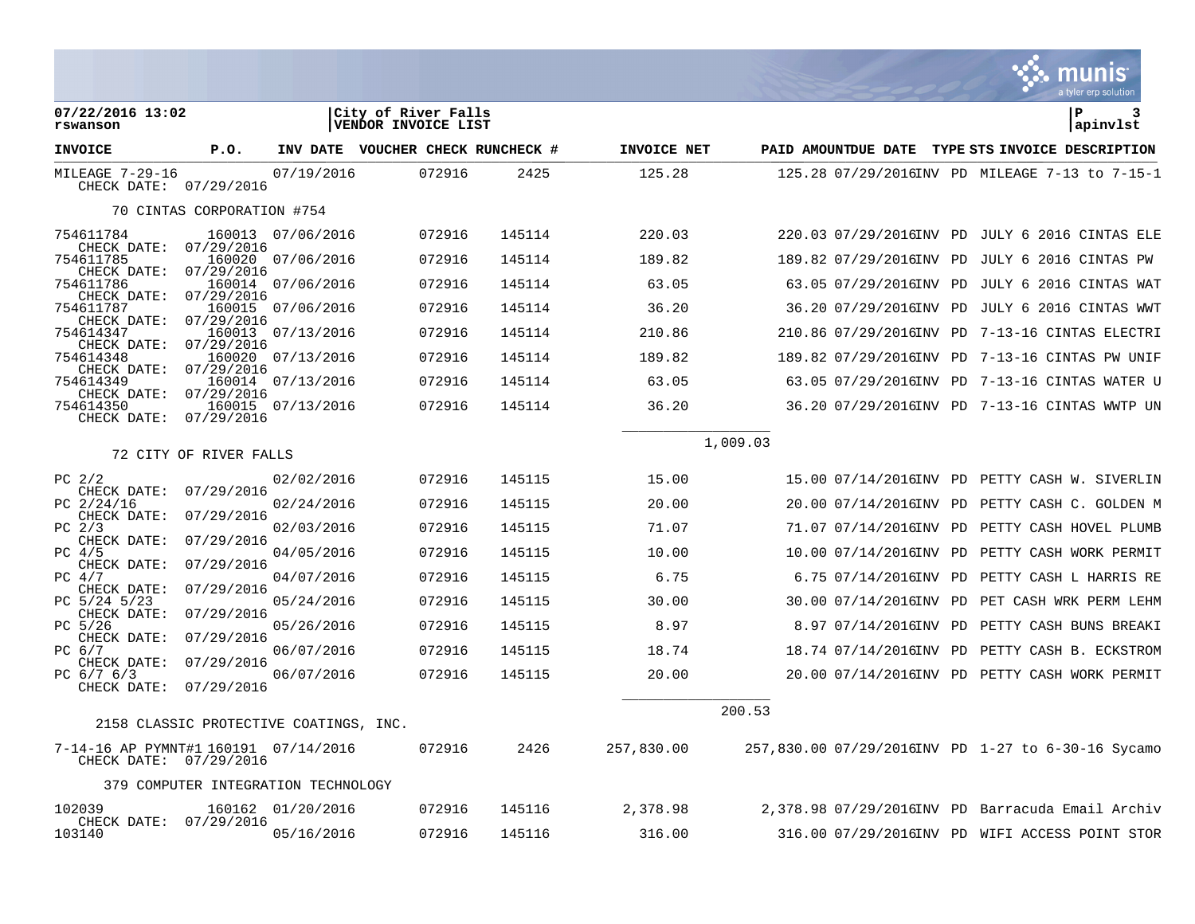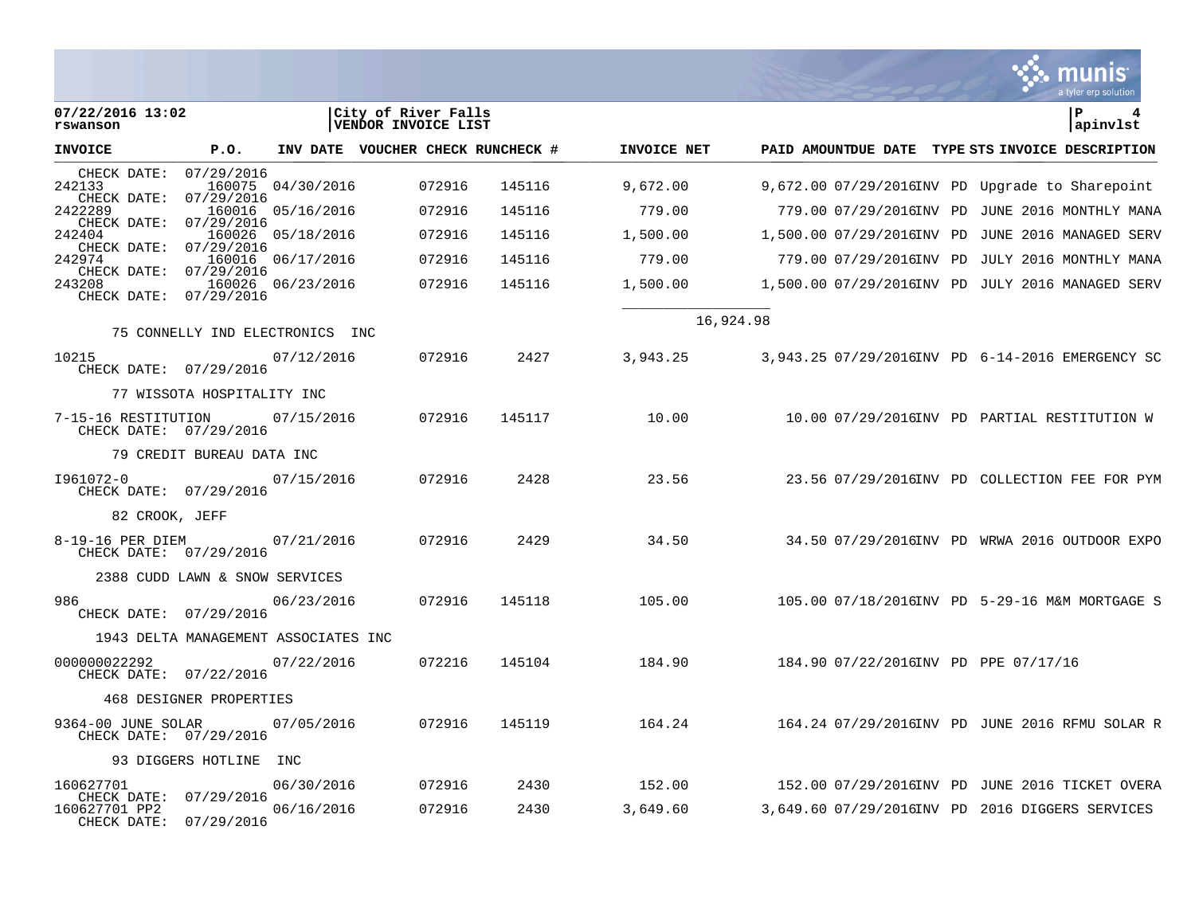|                                               |                                      |                          |                                            |              |                    |                                                                                                   |  | a tyler erp solution |
|-----------------------------------------------|--------------------------------------|--------------------------|--------------------------------------------|--------------|--------------------|---------------------------------------------------------------------------------------------------|--|----------------------|
| 07/22/2016 13:02<br>rswanson                  |                                      |                          | City of River Falls<br>VENDOR INVOICE LIST |              |                    |                                                                                                   |  | P<br>4<br>apinvlst   |
| <b>INVOICE</b>                                | P.O.                                 |                          | INV DATE VOUCHER CHECK RUNCHECK #          |              | INVOICE NET        | PAID AMOUNTDUE DATE TYPE STS INVOICE DESCRIPTION                                                  |  |                      |
| CHECK DATE:<br>242133<br>CHECK DATE:          | 07/29/2016<br>07/29/2016             | 160075 04/30/2016        | 072916                                     | 145116       | 9,672.00           | $9,672.0007/29/2016$ INV PD Upqrade to Sharepoint                                                 |  |                      |
| 2422289                                       | 160016                               | 05/16/2016               | 072916                                     | 145116       | 779.00             | 779.00 07/29/2016INV PD JUNE 2016 MONTHLY MANA                                                    |  |                      |
| CHECK DATE:<br>242404                         | 07/29/2016                           | 160026 05/18/2016        | 072916                                     | 145116       | 1,500.00           | 1,500.00 07/29/2016INV PD JUNE 2016 MANAGED SERV                                                  |  |                      |
| CHECK DATE:<br>242974                         | 07/29/2016                           | 160016 06/17/2016        | 072916                                     | 145116       | 779.00             | 779.00 07/29/2016INV PD JULY 2016 MONTHLY MANA                                                    |  |                      |
| CHECK DATE:<br>243208<br>CHECK DATE:          | 07/29/2016<br>07/29/2016             | 160026 06/23/2016        | 072916                                     | 145116       | 1,500.00           | 1,500.00 07/29/2016INV PD JULY 2016 MANAGED SERV                                                  |  |                      |
|                                               | 75 CONNELLY IND ELECTRONICS INC      |                          |                                            |              |                    | 16,924.98                                                                                         |  |                      |
| 10215<br>CHECK DATE: 07/29/2016               |                                      | 07/12/2016               | 072916                                     | 2427         | 3,943.25           | 3,943.25 07/29/2016INV PD 6-14-2016 EMERGENCY SC                                                  |  |                      |
|                                               | 77 WISSOTA HOSPITALITY INC           |                          |                                            |              |                    |                                                                                                   |  |                      |
| 7-15-16 RESTITUTION<br>CHECK DATE: 07/29/2016 |                                      | 07/15/2016               | 072916                                     | 145117       | 10.00              | 10.00 07/29/2016INV PD PARTIAL RESTITUTION W                                                      |  |                      |
|                                               | 79 CREDIT BUREAU DATA INC            |                          |                                            |              |                    |                                                                                                   |  |                      |
| I961072-0<br>CHECK DATE: 07/29/2016           |                                      | 07/15/2016               | 072916                                     | 2428         | 23.56              | 23.56 07/29/2016INV PD COLLECTION FEE FOR PYM                                                     |  |                      |
| 82 CROOK, JEFF                                |                                      |                          |                                            |              |                    |                                                                                                   |  |                      |
| 8-19-16 PER DIEM<br>CHECK DATE: 07/29/2016    |                                      | 07/21/2016               | 072916                                     | 2429         | 34.50              | 34.50 07/29/2016INV PD WRWA 2016 OUTDOOR EXPO                                                     |  |                      |
|                                               | 2388 CUDD LAWN & SNOW SERVICES       |                          |                                            |              |                    |                                                                                                   |  |                      |
| 986<br>CHECK DATE: 07/29/2016                 |                                      | 06/23/2016               | 072916                                     | 145118       | 105.00             | 105.00 07/18/2016INV PD 5-29-16 M&M MORTGAGE S                                                    |  |                      |
|                                               | 1943 DELTA MANAGEMENT ASSOCIATES INC |                          |                                            |              |                    |                                                                                                   |  |                      |
| 000000022292<br>CHECK DATE: 07/22/2016        |                                      | 07/22/2016               | 072216                                     | 145104       | 184.90             | 184.90 07/22/2016INV PD PPE 07/17/16                                                              |  |                      |
|                                               | 468 DESIGNER PROPERTIES              |                          |                                            |              |                    |                                                                                                   |  |                      |
| 9364-00 JUNE SOLAR<br>CHECK DATE: 07/29/2016  |                                      | 07/05/2016               | 072916                                     | 145119       | 164.24             | 164.24 07/29/2016INV PD JUNE 2016 RFMU SOLAR R                                                    |  |                      |
|                                               | 93 DIGGERS HOTLINE INC               |                          |                                            |              |                    |                                                                                                   |  |                      |
| 160627701<br>CHECK DATE:<br>160627701 PP2     | 07/29/2016                           | 06/30/2016<br>06/16/2016 | 072916<br>072916                           | 2430<br>2430 | 152.00<br>3,649.60 | 152.00 07/29/2016INV PD JUNE 2016 TICKET OVERA<br>3,649.60 07/29/2016INV PD 2016 DIGGERS SERVICES |  |                      |
| CHECK DATE:                                   | 07/29/2016                           |                          |                                            |              |                    |                                                                                                   |  |                      |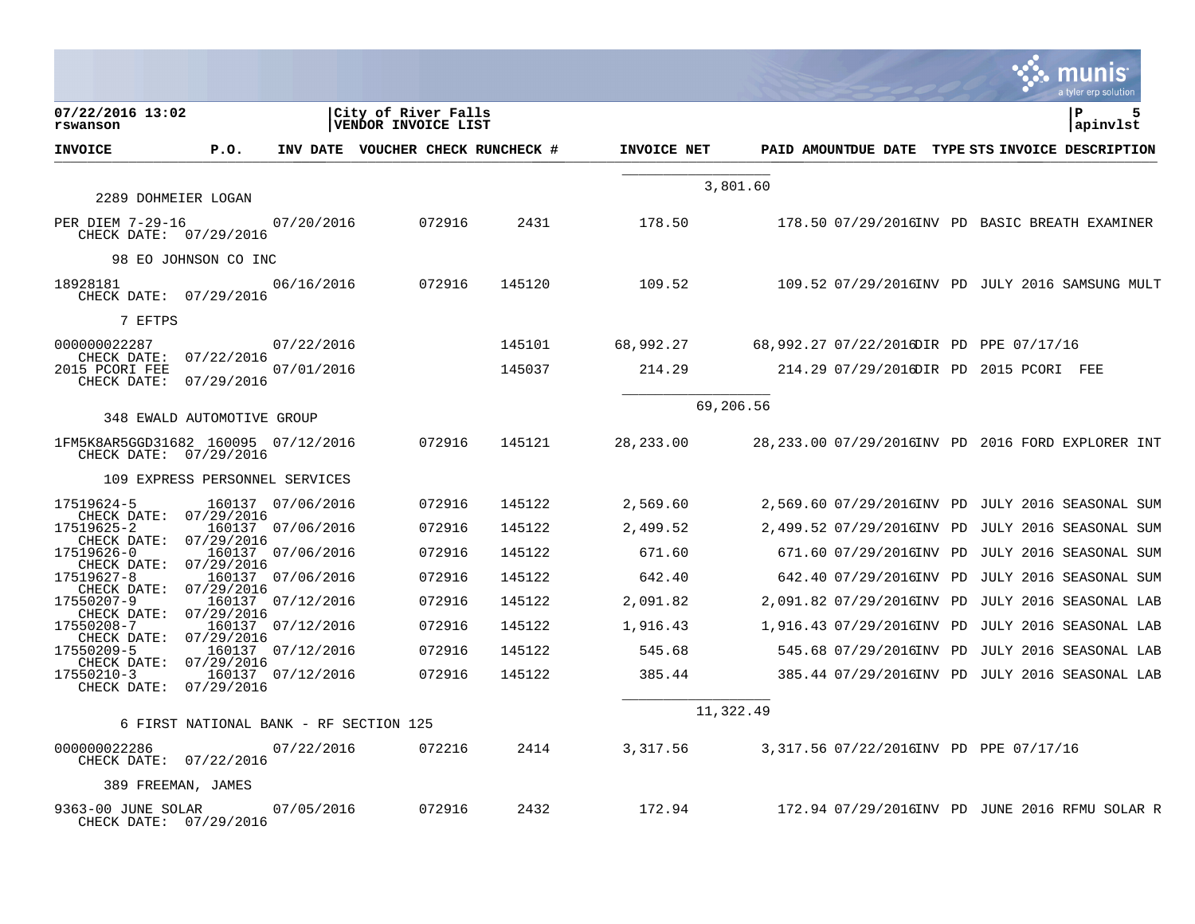|                                                               |                      |                                        |                                            |        |             |                                         | a tyler erp solution                               |
|---------------------------------------------------------------|----------------------|----------------------------------------|--------------------------------------------|--------|-------------|-----------------------------------------|----------------------------------------------------|
| 07/22/2016 13:02<br>rswanson                                  |                      |                                        | City of River Falls<br>VENDOR INVOICE LIST |        |             |                                         | l P<br>5<br>apinvlst                               |
| <b>INVOICE</b>                                                | P.O.                 |                                        | INV DATE VOUCHER CHECK RUNCHECK #          |        | INVOICE NET |                                         | PAID AMOUNTDUE DATE TYPE STS INVOICE DESCRIPTION   |
| 2289 DOHMEIER LOGAN                                           |                      |                                        |                                            |        |             | 3,801.60                                |                                                    |
| PER DIEM 7-29-16<br>CHECK DATE: 07/29/2016                    |                      | 07/20/2016                             | 072916                                     | 2431   | 178.50      |                                         | 178.50 07/29/2016INV PD BASIC BREATH EXAMINER      |
|                                                               | 98 EO JOHNSON CO INC |                                        |                                            |        |             |                                         |                                                    |
| 18928181<br>CHECK DATE: 07/29/2016                            |                      | 06/16/2016                             | 072916                                     | 145120 | 109.52      |                                         | 109.52 07/29/2016INV PD JULY 2016 SAMSUNG MULT     |
| 7 EFTPS                                                       |                      |                                        |                                            |        |             |                                         |                                                    |
| 000000022287                                                  | 07/22/2016           | 07/22/2016                             |                                            | 145101 | 68,992.27   | 68,992.27 07/22/2016DIR PD PPE 07/17/16 |                                                    |
| CHECK DATE:<br>2015 PCORI FEE<br>CHECK DATE:                  | 07/29/2016           | 07/01/2016                             |                                            | 145037 | 214.29      |                                         | 214.29 07/29/2016DIR PD 2015 PCORI FEE             |
| 348 EWALD AUTOMOTIVE GROUP                                    |                      |                                        |                                            |        |             | 69,206.56                               |                                                    |
| 1FM5K8AR5GGD31682 160095 07/12/2016<br>CHECK DATE: 07/29/2016 |                      |                                        | 072916                                     | 145121 | 28,233.00   |                                         | 28, 233.00 07/29/2016INV PD 2016 FORD EXPLORER INT |
| 109 EXPRESS PERSONNEL SERVICES                                |                      |                                        |                                            |        |             |                                         |                                                    |
| 17519624-5                                                    |                      | 160137 07/06/2016                      | 072916                                     | 145122 | 2,569.60    |                                         | 2,569.60 07/29/2016INV PD JULY 2016 SEASONAL SUM   |
| CHECK DATE: 07/29/2016<br>17519625-2                          |                      | 160137 07/06/2016                      | 072916                                     | 145122 | 2,499.52    |                                         | 2,499.52 07/29/2016INV PD JULY 2016 SEASONAL SUM   |
| CHECK DATE:<br>17519626-0                                     | 07/29/2016           | 160137 07/06/2016                      | 072916                                     | 145122 | 671.60      |                                         | 671.60 07/29/2016INV PD JULY 2016 SEASONAL SUM     |
| CHECK DATE:<br>17519627-8                                     | 07/29/2016           | 160137 07/06/2016                      | 072916                                     | 145122 | 642.40      |                                         | 642.40 07/29/2016INV PD JULY 2016 SEASONAL SUM     |
| CHECK DATE:<br>17550207-9                                     | 07/29/2016           | 160137 07/12/2016                      | 072916                                     | 145122 | 2,091.82    |                                         | 2,091.82 07/29/2016INV PD JULY 2016 SEASONAL LAB   |
| CHECK DATE:<br>17550208-7                                     | 07/29/2016           | 160137 07/12/2016                      | 072916                                     | 145122 | 1,916.43    |                                         | 1,916.43 07/29/2016INV PD JULY 2016 SEASONAL LAB   |
| CHECK DATE:<br>17550209-5                                     | 07/29/2016           | 160137 07/12/2016                      | 072916                                     | 145122 | 545.68      |                                         | 545.68 07/29/2016INV PD JULY 2016 SEASONAL LAB     |
| CHECK DATE:<br>17550210-3<br>CHECK DATE: 07/29/2016           | 07/29/2016           | 160137 07/12/2016                      | 072916                                     | 145122 | 385.44      |                                         | 385.44 07/29/2016INV PD JULY 2016 SEASONAL LAB     |
|                                                               |                      | 6 FIRST NATIONAL BANK - RF SECTION 125 |                                            |        |             | 11,322.49                               |                                                    |
| 000000022286<br>CHECK DATE: 07/22/2016                        |                      | 07/22/2016                             | 072216                                     | 2414   | 3,317.56    | 3,317.56 07/22/2016INV PD PPE 07/17/16  |                                                    |
| 389 FREEMAN, JAMES                                            |                      |                                        |                                            |        |             |                                         |                                                    |
| 9363-00 JUNE SOLAR<br>CHECK DATE: 07/29/2016                  |                      | 07/05/2016                             | 072916                                     | 2432   | 172.94      |                                         | 172.94 07/29/2016INV PD JUNE 2016 RFMU SOLAR R     |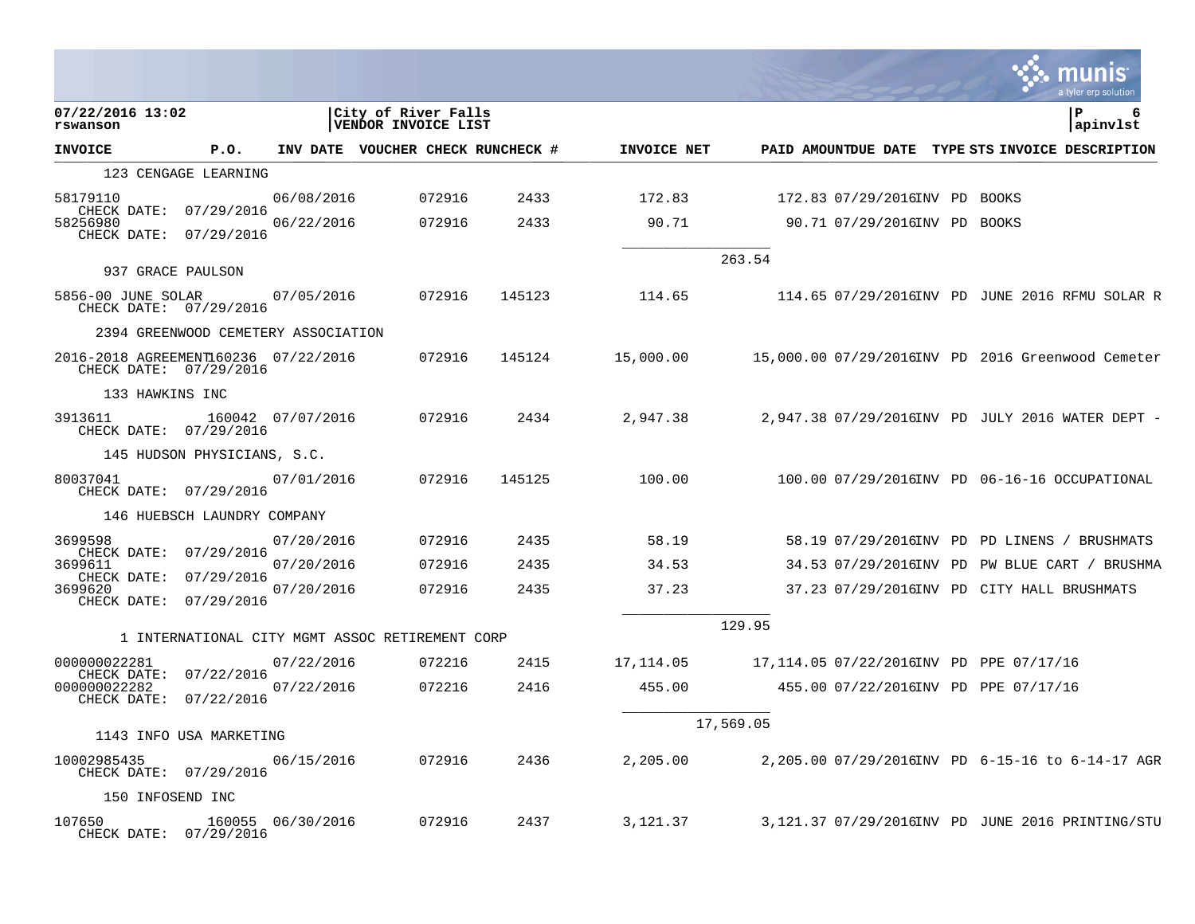|                                       |                                                 |                   |                                            |        |                                   |             |           |                                            |  | munis<br>a tyler erp solution                     |
|---------------------------------------|-------------------------------------------------|-------------------|--------------------------------------------|--------|-----------------------------------|-------------|-----------|--------------------------------------------|--|---------------------------------------------------|
| 07/22/2016 13:02<br>rswanson          |                                                 |                   | City of River Falls<br>VENDOR INVOICE LIST |        |                                   |             |           |                                            |  | l P<br>6<br>apinvlst                              |
| <b>INVOICE</b>                        | P.O.                                            |                   |                                            |        | INV DATE VOUCHER CHECK RUNCHECK # | INVOICE NET |           |                                            |  | PAID AMOUNTDUE DATE TYPE STS INVOICE DESCRIPTION  |
|                                       | 123 CENGAGE LEARNING                            |                   |                                            |        |                                   |             |           |                                            |  |                                                   |
| 58179110<br>CHECK DATE: 07/29/2016    |                                                 | 06/08/2016        |                                            | 072916 | 2433                              | 172.83      |           | 172.83 07/29/2016INV PD BOOKS              |  |                                                   |
| 58256980                              | CHECK DATE: 07/29/2016                          | 06/22/2016        |                                            | 072916 | 2433                              | 90.71       |           | 90.71 07/29/2016INV PD BOOKS               |  |                                                   |
|                                       | 937 GRACE PAULSON                               |                   |                                            |        |                                   |             | 263.54    |                                            |  |                                                   |
| 5856-00 JUNE SOLAR                    | CHECK DATE: 07/29/2016                          | 07/05/2016        |                                            | 072916 | 145123                            | 114.65      |           |                                            |  | 114.65 07/29/2016INV PD JUNE 2016 RFMU SOLAR R    |
|                                       | 2394 GREENWOOD CEMETERY ASSOCIATION             |                   |                                            |        |                                   |             |           |                                            |  |                                                   |
| 2016-2018 AGREEMENT160236 07/22/2016  | CHECK DATE: 07/29/2016                          |                   |                                            | 072916 | 145124                            | 15,000.00   |           |                                            |  | 15,000.00 07/29/2016INV PD 2016 Greenwood Cemeter |
| 133 HAWKINS INC                       |                                                 |                   |                                            |        |                                   |             |           |                                            |  |                                                   |
| 3913611                               | CHECK DATE: 07/29/2016                          | 160042 07/07/2016 |                                            | 072916 | 2434                              | 2,947.38    |           |                                            |  | 2,947.38 07/29/2016INV PD JULY 2016 WATER DEPT -  |
|                                       | 145 HUDSON PHYSICIANS, S.C.                     |                   |                                            |        |                                   |             |           |                                            |  |                                                   |
| 80037041                              | CHECK DATE: 07/29/2016                          | 07/01/2016        |                                            | 072916 | 145125                            | 100.00      |           |                                            |  | 100.00 07/29/2016INV PD 06-16-16 OCCUPATIONAL     |
|                                       | 146 HUEBSCH LAUNDRY COMPANY                     |                   |                                            |        |                                   |             |           |                                            |  |                                                   |
| 3699598                               | CHECK DATE: 07/29/2016                          | 07/20/2016        |                                            | 072916 | 2435                              | 58.19       |           |                                            |  | 58.19 07/29/2016INV PD PD LINENS / BRUSHMATS      |
| 3699611<br>CHECK DATE:                | 07/29/2016                                      | 07/20/2016        |                                            | 072916 | 2435                              | 34.53       |           |                                            |  | 34.53 07/29/2016INV PD PW BLUE CART / BRUSHMA     |
| 3699620<br>CHECK DATE: 07/29/2016     |                                                 | 07/20/2016        |                                            | 072916 | 2435                              | 37.23       |           | 37.23 07/29/2016INV PD CITY HALL BRUSHMATS |  |                                                   |
|                                       |                                                 |                   |                                            |        |                                   |             | 129.95    |                                            |  |                                                   |
|                                       | 1 INTERNATIONAL CITY MGMT ASSOC RETIREMENT CORP |                   |                                            |        |                                   |             |           |                                            |  |                                                   |
| 000000022281                          | CHECK DATE: 07/22/2016                          | 07/22/2016        |                                            | 072216 | 2415                              | 17, 114.05  |           | 17,114.05 07/22/2016INV PD PPE 07/17/16    |  |                                                   |
| 000000022282                          | CHECK DATE: 07/22/2016                          | 07/22/2016        |                                            | 072216 | 2416                              | 455.00      |           | 455.00 07/22/2016INV PD PPE 07/17/16       |  |                                                   |
|                                       | 1143 INFO USA MARKETING                         |                   |                                            |        |                                   |             | 17,569.05 |                                            |  |                                                   |
| 10002985435<br>CHECK DATE: 07/29/2016 |                                                 | 06/15/2016        |                                            | 072916 | 2436                              | 2,205.00    |           |                                            |  | 2,205.00 07/29/2016INV PD 6-15-16 to 6-14-17 AGR  |
| 150 INFOSEND INC                      |                                                 |                   |                                            |        |                                   |             |           |                                            |  |                                                   |
| 107650                                | CHECK DATE: 07/29/2016                          | 160055 06/30/2016 |                                            | 072916 | 2437                              | 3,121.37    |           |                                            |  | 3,121.37 07/29/2016INV PD JUNE 2016 PRINTING/STU  |

 $\mathcal{L}$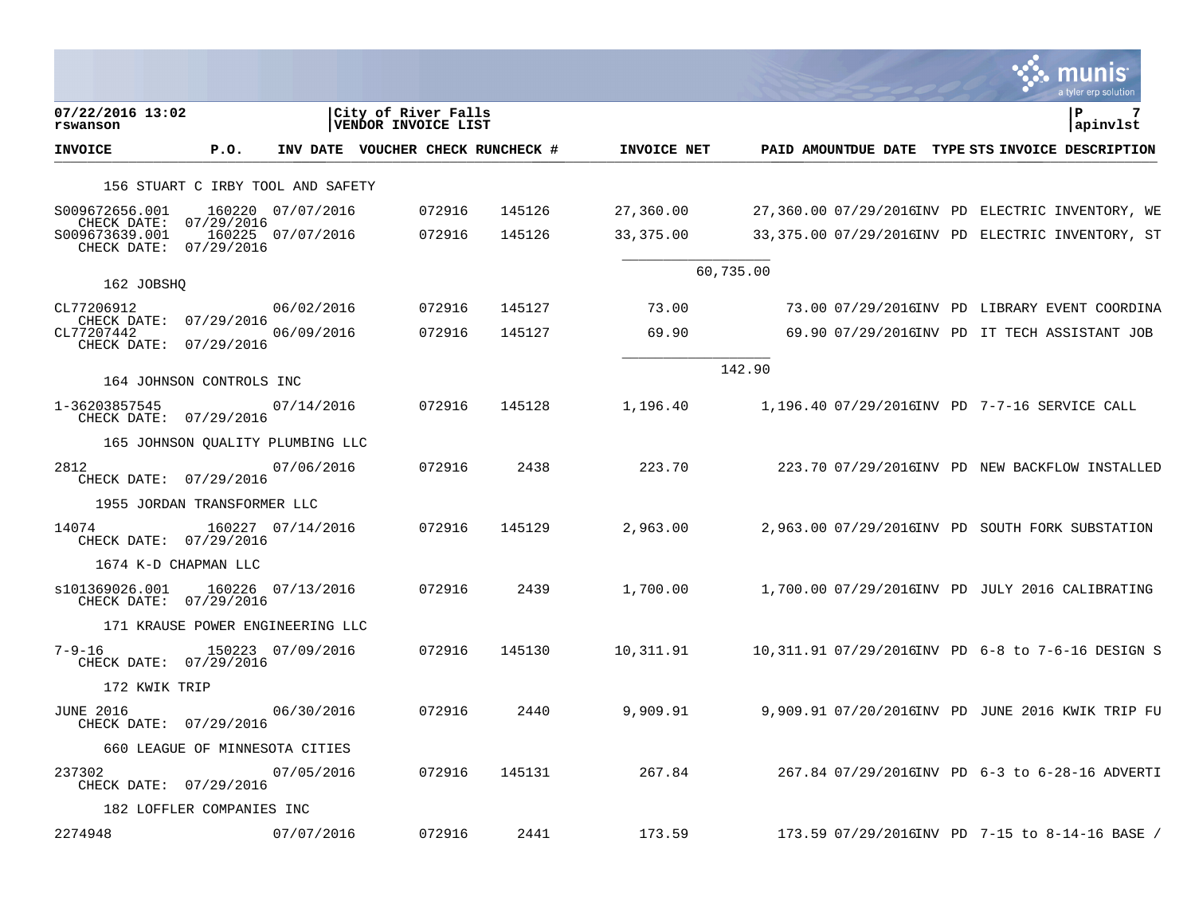|                                                                |                                   |                   |                                            |                                   |             |           |  | a tyler erp solution                              |
|----------------------------------------------------------------|-----------------------------------|-------------------|--------------------------------------------|-----------------------------------|-------------|-----------|--|---------------------------------------------------|
| 07/22/2016 13:02<br>rswanson                                   |                                   |                   | City of River Falls<br>VENDOR INVOICE LIST |                                   |             |           |  | P<br>apinvlst                                     |
| <b>INVOICE</b>                                                 | P.0.                              |                   |                                            | INV DATE VOUCHER CHECK RUNCHECK # | INVOICE NET |           |  | PAID AMOUNTDUE DATE TYPE STS INVOICE DESCRIPTION  |
|                                                                | 156 STUART C IRBY TOOL AND SAFETY |                   |                                            |                                   |             |           |  |                                                   |
| S009672656.001                                                 |                                   | 160220 07/07/2016 | 072916                                     | 145126                            | 27,360.00   |           |  | 27,360.00 07/29/2016INV PD ELECTRIC INVENTORY, WE |
| CHECK DATE:<br>S009673639.001<br>CHECK DATE:                   | 07/29/2016<br>07/29/2016          | 160225 07/07/2016 | 072916                                     | 145126                            | 33,375.00   |           |  | 33,375.00 07/29/2016INV PD ELECTRIC INVENTORY, ST |
| 162 JOBSHQ                                                     |                                   |                   |                                            |                                   |             | 60,735.00 |  |                                                   |
| CL77206912                                                     |                                   | 06/02/2016        | 072916                                     | 145127                            | 73.00       |           |  | 73.00 07/29/2016INV PD LIBRARY EVENT COORDINA     |
| CHECK DATE: 07/29/2016<br>CL77207442<br>CHECK DATE: 07/29/2016 |                                   | 06/09/2016        | 072916                                     | 145127                            | 69.90       |           |  | 69.90 07/29/2016INV PD IT TECH ASSISTANT JOB      |
|                                                                | 164 JOHNSON CONTROLS INC          |                   |                                            |                                   |             | 142.90    |  |                                                   |
| 1-36203857545<br>CHECK DATE: 07/29/2016                        |                                   | 07/14/2016        | 072916                                     | 145128                            | 1,196.40    |           |  | 1,196.40 07/29/2016INV PD 7-7-16 SERVICE CALL     |
|                                                                | 165 JOHNSON QUALITY PLUMBING LLC  |                   |                                            |                                   |             |           |  |                                                   |
| 2812<br>CHECK DATE: 07/29/2016                                 |                                   | 07/06/2016        | 072916                                     | 2438                              | 223.70      |           |  | 223.70 07/29/2016INV PD NEW BACKFLOW INSTALLED    |
|                                                                | 1955 JORDAN TRANSFORMER LLC       |                   |                                            |                                   |             |           |  |                                                   |
| 14074<br>CHECK DATE: 07/29/2016                                |                                   | 160227 07/14/2016 | 072916                                     | 145129                            | 2,963.00    |           |  | 2,963.00 07/29/2016INV PD SOUTH FORK SUBSTATION   |
|                                                                | 1674 K-D CHAPMAN LLC              |                   |                                            |                                   |             |           |  |                                                   |
| s101369026.001<br>CHECK DATE: 07/29/2016                       |                                   | 160226 07/13/2016 | 072916                                     | 2439                              | 1,700.00    |           |  | 1,700.00 07/29/2016INV PD JULY 2016 CALIBRATING   |
|                                                                | 171 KRAUSE POWER ENGINEERING LLC  |                   |                                            |                                   |             |           |  |                                                   |
| $7 - 9 - 16$<br>CHECK DATE: 07/29/2016                         |                                   | 150223 07/09/2016 | 072916                                     | 145130                            | 10,311.91   |           |  | 10,311.91 07/29/2016INV PD 6-8 to 7-6-16 DESIGN S |
| 172 KWIK TRIP                                                  |                                   |                   |                                            |                                   |             |           |  |                                                   |
| JUNE 2016<br>CHECK DATE: 07/29/2016                            |                                   | 06/30/2016        | 072916                                     | 2440                              | 9,909.91    |           |  | 9,909.91 07/20/2016INV PD JUNE 2016 KWIK TRIP FU  |
|                                                                | 660 LEAGUE OF MINNESOTA CITIES    |                   |                                            |                                   |             |           |  |                                                   |
| 237302<br>CHECK DATE: 07/29/2016                               |                                   | 07/05/2016        | 072916                                     | 145131                            | 267.84      |           |  | 267.84 07/29/2016INV PD 6-3 to 6-28-16 ADVERTI    |
|                                                                | 182 LOFFLER COMPANIES INC         |                   |                                            |                                   |             |           |  |                                                   |
| 2274948                                                        |                                   | 07/07/2016        | 072916                                     | 2441                              | 173.59      |           |  | 173.59 07/29/2016INV PD 7-15 to 8-14-16 BASE /    |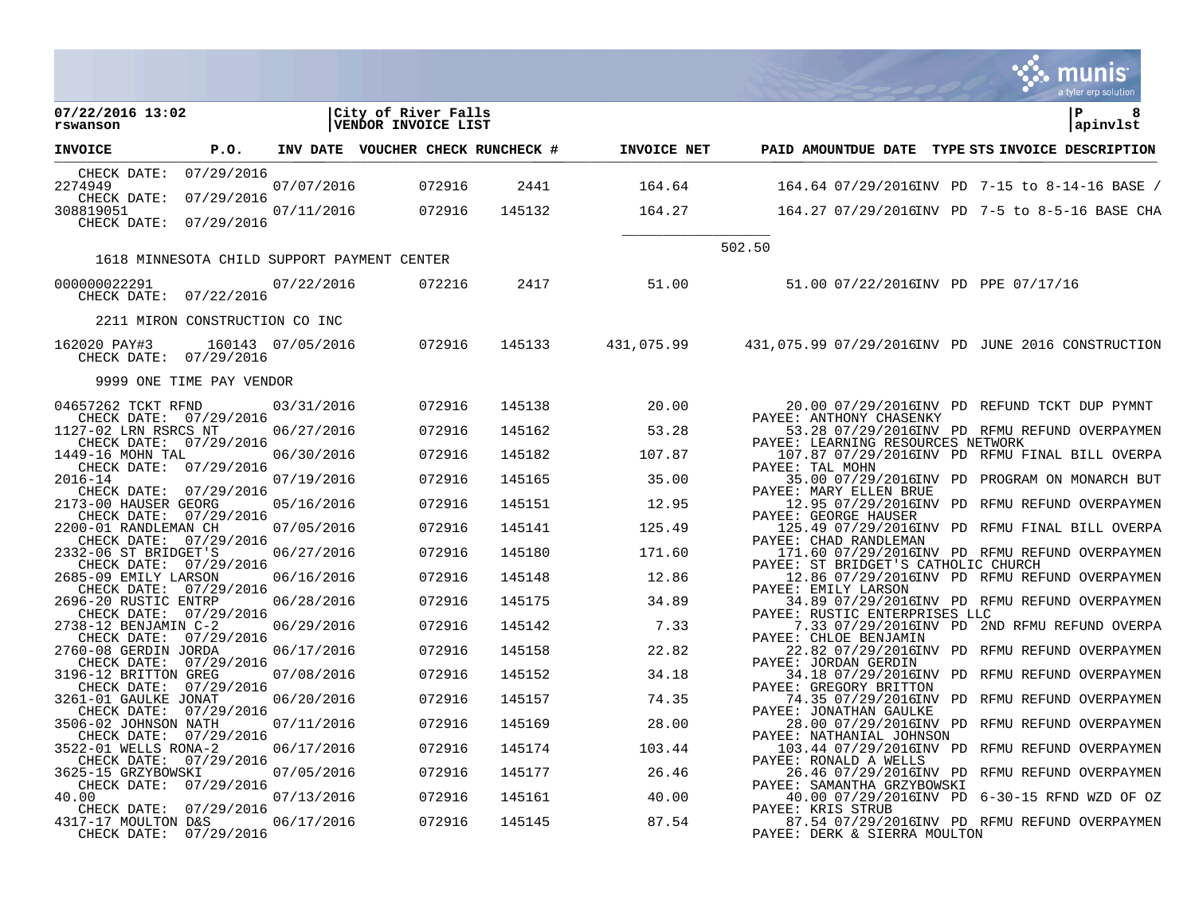|                                                                         |                                             |                   |                                            |        |                    |                                                                                                    | a tyler erp solution |
|-------------------------------------------------------------------------|---------------------------------------------|-------------------|--------------------------------------------|--------|--------------------|----------------------------------------------------------------------------------------------------|----------------------|
| 07/22/2016 13:02<br>rswanson                                            |                                             |                   | City of River Falls<br>VENDOR INVOICE LIST |        |                    |                                                                                                    | P<br>8<br>apinvlst   |
| <b>INVOICE</b>                                                          | P.O.                                        |                   | INV DATE VOUCHER CHECK RUNCHECK #          |        | <b>INVOICE NET</b> | PAID AMOUNTDUE DATE TYPE STS INVOICE DESCRIPTION                                                   |                      |
| CHECK DATE:<br>2274949                                                  | 07/29/2016                                  | 07/07/2016        | 072916                                     | 2441   | 164.64             | 164.64 07/29/2016INV PD 7-15 to 8-14-16 BASE /                                                     |                      |
| CHECK DATE:<br>308819051                                                | 07/29/2016                                  | 07/11/2016        | 072916                                     | 145132 | 164.27             | 164.27 07/29/2016INV PD 7-5 to 8-5-16 BASE CHA                                                     |                      |
| CHECK DATE: 07/29/2016                                                  |                                             |                   |                                            |        |                    |                                                                                                    |                      |
|                                                                         | 1618 MINNESOTA CHILD SUPPORT PAYMENT CENTER |                   |                                            |        |                    | 502.50                                                                                             |                      |
|                                                                         |                                             |                   |                                            |        |                    |                                                                                                    |                      |
| 000000022291<br>CHECK DATE: 07/22/2016                                  |                                             | 07/22/2016        | 072216                                     | 2417   | 51.00              | 51.00 07/22/2016INV PD PPE 07/17/16                                                                |                      |
|                                                                         | 2211 MIRON CONSTRUCTION CO INC              |                   |                                            |        |                    |                                                                                                    |                      |
| 162020 PAY#3<br>CHECK DATE: 07/29/2016                                  |                                             | 160143 07/05/2016 | 072916                                     |        |                    | 145133 431,075.99 431,075.99 07/29/2016INV PD JUNE 2016 CONSTRUCTION                               |                      |
|                                                                         | 9999 ONE TIME PAY VENDOR                    |                   |                                            |        |                    |                                                                                                    |                      |
| 04657262 TCKT RFND<br>CHECK DATE: 07/29/2016                            |                                             | 03/31/2016        | 072916                                     | 145138 | 20.00              | 20.00 07/29/2016INV PD REFUND TCKT DUP PYMNT                                                       |                      |
| 1127-02 LRN RSRCS NT                                                    |                                             | 06/27/2016        | 072916                                     | 145162 | 53.28              | PAYEE: ANTHONY CHASENKY<br>53.28 07/29/2016INV PD RFMU REFUND OVERPAYMEN                           |                      |
| CHECK DATE: 07/29/2016<br>1449-16 MOHN TAL                              |                                             | 06/30/2016        | 072916                                     | 145182 | 107.87             | PAYEE: LEARNING RESOURCES NETWORK<br>107.87 07/29/2016INV PD RFMU FINAL BILL OVERPA                |                      |
| CHECK DATE: 07/29/2016<br>$2016 - 14$                                   |                                             | 07/19/2016        | 072916                                     | 145165 | 35.00              | PAYEE: TAL MOHN<br>35.00 07/29/2016INV PD PROGRAM ON MONARCH BUT                                   |                      |
| CHECK DATE: 07/29/2016<br>2173-00 HAUSER GEORG                          |                                             | 05/16/2016        | 072916                                     | 145151 | 12.95              | PAYEE: MARY ELLEN BRUE<br>12.95 07/29/2016INV PD RFMU REFUND OVERPAYMEN                            |                      |
| CHECK DATE: 07/29/2016<br>2200-01 RANDLEMAN CH                          |                                             | 07/05/2016        | 072916                                     | 145141 | 125.49             | PAYEE: GEORGE HAUSER<br>125.49 07/29/2016INV PD RFMU FINAL BILL OVERPA                             |                      |
| CHECK DATE: 07/29/2016<br>2332-06 ST BRIDGET'S                          |                                             | 06/27/2016        | 072916                                     | 145180 | 171.60             | PAYEE: CHAD RANDLEMAN<br>171.60 07/29/2016INV PD RFMU REFUND OVERPAYMEN                            |                      |
| CHECK DATE: 07/29/2016<br>2685-09 EMILY LARSON                          |                                             | 06/16/2016        | 072916                                     | 145148 | 12.86              | PAYEE: ST BRIDGET'S CATHOLIC CHURCH<br>12.86 07/29/2016INV PD RFMU REFUND OVERPAYMEN               |                      |
| CHECK DATE: 07/29/2016<br>2696-20 RUSTIC ENTRP                          |                                             | 06/28/2016        | 072916                                     | 145175 | 34.89              | PAYEE: EMILY LARSON<br>34.89 07/29/2016INV PD RFMU REFUND OVERPAYMEN                               |                      |
| CHECK DATE: 07/29/2016<br>2738-12 BENJAMIN C-2                          |                                             | 06/29/2016        | 072916                                     | 145142 | 7.33               | PAYEE: RUSTIC ENTERPRISES LLC<br>7.33 07/29/2016INV PD 2ND RFMU REFUND OVERPA                      |                      |
| CHECK DATE: 07/29/2016<br>2760-08 GERDIN JORDA                          |                                             | 06/17/2016        | 072916                                     | 145158 | 22.82              | PAYEE: CHLOE BENJAMIN<br>22.82 07/29/2016INV PD RFMU REFUND OVERPAYMEN                             |                      |
| CHECK DATE: 07/29/2016<br>3196-12 BRITTON GREG                          |                                             | 07/08/2016        | 072916                                     | 145152 | 34.18              | PAYEE: JORDAN GERDIN<br>34.18 07/29/2016INV PD RFMU REFUND OVERPAYMEN                              |                      |
| CHECK DATE: 07/29/2016<br>3261-01 GAULKE JONAT                          |                                             | 06/20/2016        | 072916                                     | 145157 | 74.35              | PAYEE: GREGORY BRITTON<br>74.35 07/29/2016INV PD RFMU REFUND OVERPAYMEN                            |                      |
| CHECK DATE: 07/29/2016<br>3506-02 JOHNSON NATH                          |                                             | 07/11/2016        | 072916                                     | 145169 | 28.00              | PAYEE: JONATHAN GAULKE<br>28.00 07/29/2016INV PD RFMU REFUND OVERPAYMEN                            |                      |
| CHECK DATE: 07/29/2016<br>3522-01 WELLS RONA-2                          |                                             | 06/17/2016        | 072916                                     | 145174 | 103.44             | PAYEE: NATHANIAL JOHNSON<br>103.44 07/29/2016INV PD RFMU REFUND OVERPAYMEN                         |                      |
| CHECK DATE: 07/29/2016<br>3625-15 GRZYBOWSKI                            |                                             | 07/05/2016        | 072916                                     | 145177 | 26.46              | PAYEE: RONALD A WELLS<br>26.46 07/29/2016INV PD RFMU REFUND OVERPAYMEN                             |                      |
| CHECK DATE: 07/29/2016<br>40.00                                         |                                             | 07/13/2016        | 072916                                     | 145161 | 40.00              | PAYEE: SAMANTHA GRZYBOWSKI<br>40.00 07/29/2016INV PD 6-30-15 RFND WZD OF OZ                        |                      |
| CHECK DATE: 07/29/2016<br>4317-17 MOULTON D&S<br>CHECK DATE: 07/29/2016 |                                             | 06/17/2016        | 072916                                     | 145145 | 87.54              | PAYEE: KRIS STRUB<br>87.54 07/29/2016INV PD RFMU REFUND OVERPAYMEN<br>PAYEE: DERK & SIERRA MOULTON |                      |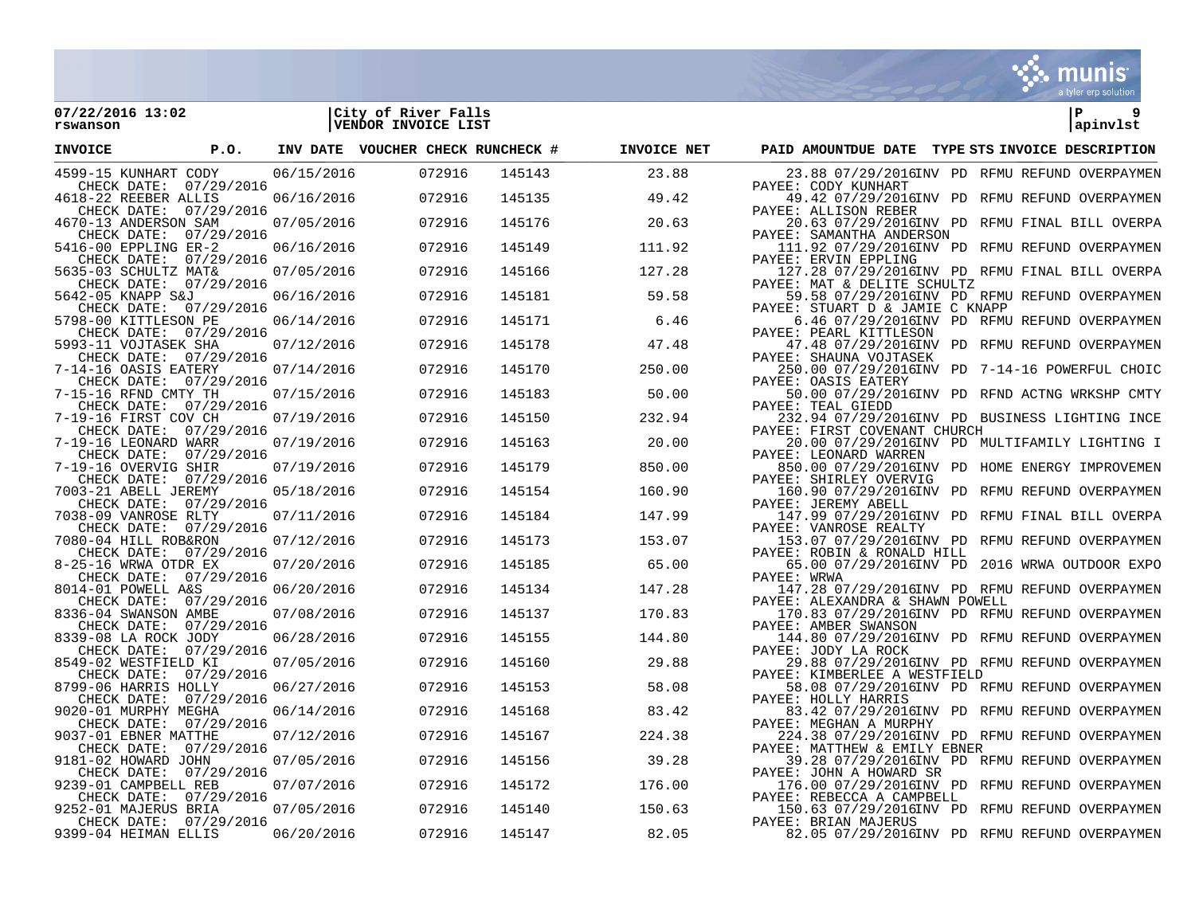

150.63 07/29/2016 1ND REMU REFUND OVERPAYMEN<br>PAYEE: BRIAN MAJERUS

82.05 07/29/2016 INV PD RFMU REFUND OVERPAYMEN

| 07/22/2016 13:02<br>rswanson                      |      |            | City of River Falls<br>VENDOR INVOICE LIST |        |             |                                                                                   | l P<br>9<br>apinvlst |
|---------------------------------------------------|------|------------|--------------------------------------------|--------|-------------|-----------------------------------------------------------------------------------|----------------------|
| <b>INVOICE</b>                                    | P.O. |            | INV DATE VOUCHER CHECK RUNCHECK #          |        | INVOICE NET | PAID AMOUNTDUE DATE TYPE STS INVOICE DESCRIPTION                                  |                      |
| 4599-15 KUNHART CODY<br>CHECK DATE: 07/29/2016    |      | 06/15/2016 | 072916                                     | 145143 | 23.88       | 23.88 07/29/2016INV PD RFMU REFUND OVERPAYMEN<br>PAYEE: CODY KUNHART              |                      |
| 4618-22 REEBER ALLIS<br>CHECK DATE: 07/29/2016    |      | 06/16/2016 | 072916                                     | 145135 | 49.42       | 49.42 07/29/2016INV PD RFMU REFUND OVERPAYMEN<br>PAYEE: ALLISON REBER             |                      |
| 4670-13 ANDERSON SAM<br>CHECK DATE: 07/29/2016    |      | 07/05/2016 | 072916                                     | 145176 | 20.63       | 20.63 07/29/2016INV PD RFMU FINAL BILL OVERPA<br>PAYEE: SAMANTHA ANDERSON         |                      |
| 5416-00 EPPLING ER-2<br>CHECK DATE: 07/29/2016    |      | 06/16/2016 | 072916                                     | 145149 | 111.92      | 111.92 07/29/2016INV PD RFMU REFUND OVERPAYMEN<br>PAYEE: ERVIN EPPLING            |                      |
| 5635-03 SCHULTZ MAT&<br>CHECK DATE: 07/29/2016    |      | 07/05/2016 | 072916                                     | 145166 | 127.28      | 127.28 07/29/2016INV PD RFMU FINAL BILL OVERPA<br>PAYEE: MAT & DELITE SCHULTZ     |                      |
| 5642-05 KNAPP S&J<br>CHECK DATE: 07/29/2016       |      | 06/16/2016 | 072916                                     | 145181 | 59.58       | 59.58 07/29/2016INV PD RFMU REFUND OVERPAYMEN<br>PAYEE: STUART D & JAMIE C KNAPP  |                      |
| 5798-00 KITTLESON PE<br>CHECK DATE: 07/29/2016    |      | 06/14/2016 | 072916                                     | 145171 | 6.46        | 6.46 07/29/2016INV PD RFMU REFUND OVERPAYMEN<br>PAYEE: PEARL KITTLESON            |                      |
| 5993-11 VOJTASEK SHA<br>CHECK DATE: 07/29/2016    |      | 07/12/2016 | 072916                                     | 145178 | 47.48       | 47.48 07/29/2016INV PD RFMU REFUND OVERPAYMEN<br>PAYEE: SHAUNA VOJTASEK           |                      |
| 7-14-16 OASIS EATERY<br>CHECK DATE: 07/29/2016    |      | 07/14/2016 | 072916                                     | 145170 | 250.00      | 250.00 07/29/2016INV PD 7-14-16 POWERFUL CHOIC<br>PAYEE: OASIS EATERY             |                      |
| 7-15-16 RFND CMTY TH<br>CHECK DATE: 07/29/2016    |      | 07/15/2016 | 072916                                     | 145183 | 50.00       | 50.00 07/29/2016INV PD RFND ACTNG WRKSHP CMTY<br>PAYEE: TEAL GIEDD                |                      |
| 7-19-16 FIRST COV CH<br>CHECK DATE: 07/29/2016    |      | 07/19/2016 | 072916                                     | 145150 | 232.94      | 232.94 07/29/2016INV PD BUSINESS LIGHTING INCE<br>PAYEE: FIRST COVENANT CHURCH    |                      |
| 7-19-16 LEONARD WARR<br>CHECK DATE: 07/29/2016    |      | 07/19/2016 | 072916                                     | 145163 | 20.00       | 20.00 07/29/2016INV PD MULTIFAMILY LIGHTING I<br>PAYEE: LEONARD WARREN            |                      |
| 7-19-16 OVERVIG SHIR<br>CHECK DATE: 07/29/2016    |      | 07/19/2016 | 072916                                     | 145179 | 850.00      | 850.00 07/29/2016INV PD HOME ENERGY IMPROVEMEN<br>PAYEE: SHIRLEY OVERVIG          |                      |
| 7003-21 ABELL JEREMY<br>CHECK DATE: 07/29/2016    |      | 05/18/2016 | 072916                                     | 145154 | 160.90      | 160.90 07/29/2016INV PD RFMU REFUND OVERPAYMEN<br>PAYEE: JEREMY ABELL             |                      |
| 7038-09 VANROSE RLTY<br>CHECK DATE: 07/29/2016    |      | 07/11/2016 | 072916                                     | 145184 | 147.99      | 147.99 07/29/2016INV PD RFMU FINAL BILL OVERPA<br>PAYEE: VANROSE REALTY           |                      |
| 7080-04 HILL ROB&RON<br>CHECK DATE: 07/29/2016    |      | 07/12/2016 | 072916                                     | 145173 | 153.07      | 153.07 07/29/2016INV PD RFMU REFUND OVERPAYMEN<br>PAYEE: ROBIN & RONALD HILL      |                      |
| 8-25-16 WRWA OTDR EX<br>CHECK DATE: 07/29/2016    |      | 07/20/2016 | 072916                                     | 145185 | 65.00       | 65.00 07/29/2016INV PD 2016 WRWA OUTDOOR EXPO<br>PAYEE: WRWA                      |                      |
| 8014-01 POWELL A&S<br>CHECK DATE: 07/29/2016      |      | 06/20/2016 | 072916                                     | 145134 | 147.28      | 147.28 07/29/2016INV PD RFMU REFUND OVERPAYMEN<br>PAYEE: ALEXANDRA & SHAWN POWELL |                      |
| 8336-04 SWANSON AMBE<br>CHECK DATE: 07/29/2016    |      | 07/08/2016 | 072916                                     | 145137 | 170.83      | 170.83 07/29/2016INV PD RFMU REFUND OVERPAYMEN<br>PAYEE: AMBER SWANSON            |                      |
| 8339-08 LA ROCK JODY<br>CHECK DATE: 07/29/2016    |      | 06/28/2016 | 072916                                     | 145155 | 144.80      | 144.80 07/29/2016INV PD RFMU REFUND OVERPAYMEN<br>PAYEE: JODY LA ROCK             |                      |
| 8549-02 WESTFIELD KI<br>CHECK DATE: 07/29/2016    |      | 07/05/2016 | 072916                                     | 145160 | 29.88       | 29.88 07/29/2016INV PD RFMU REFUND OVERPAYMEN<br>PAYEE: KIMBERLEE A WESTFIELD     |                      |
| 8799-06 HARRIS HOLLY<br>CHECK DATE:<br>07/29/2016 |      | 06/27/2016 | 072916                                     | 145153 | 58.08       | 58.08 07/29/2016INV PD RFMU REFUND OVERPAYMEN<br>PAYEE: HOLLY HARRIS              |                      |
| 9020-01 MURPHY MEGHA<br>CHECK DATE: 07/29/2016    |      | 06/14/2016 | 072916                                     | 145168 | 83.42       | 83.42 07/29/2016INV PD RFMU REFUND OVERPAYMEN<br>PAYEE: MEGHAN A MURPHY           |                      |
| 9037-01 EBNER MATTHE<br>CHECK DATE: 07/29/2016    |      | 07/12/2016 | 072916                                     | 145167 | 224.38      | 224.38 07/29/2016INV PD RFMU REFUND OVERPAYMEN<br>PAYEE: MATTHEW & EMILY EBNER    |                      |
| 9181-02 HOWARD JOHN<br>CHECK DATE: 07/29/2016     |      | 07/05/2016 | 072916                                     | 145156 | 39.28       | 39.28 07/29/2016INV PD RFMU REFUND OVERPAYMEN<br>PAYEE: JOHN A HOWARD SR          |                      |
| 9239-01 CAMPBELL REB<br>CHECK DATE: 07/29/2016    |      | 07/07/2016 | 072916                                     | 145172 | 176.00      | 176.00 07/29/2016INV PD RFMU REFUND OVERPAYMEN<br>PAYEE: REBECCA A CAMPBELL       |                      |
| 9252-01 MAJERUS BRIA                              |      | 07/05/2016 | 072916                                     | 145140 | 150.63      | 150.63 07/29/2016INV PD RFMU REFUND OVERPAYMEN                                    |                      |

CHECK DATE: 07/29/2016 PAYEE: 07/29/2016 PAYEE: 06/20/2016 PAYEE: 07/29 PAYEE: 06/20/2016 PAYEE: 07/2916 PAYEE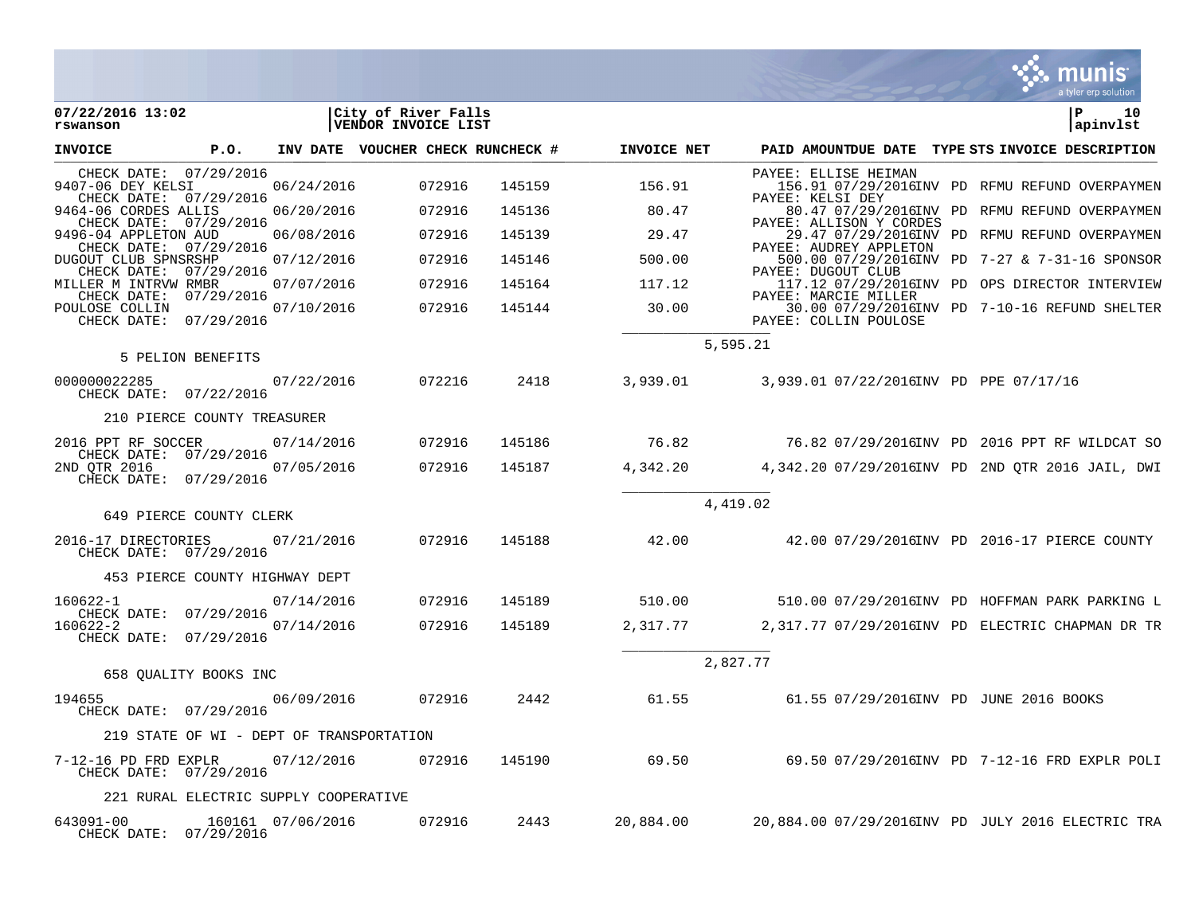|                                                                       |                                          |                   |                                            |        |             |          |                                               | a tyler erp solution                                       |
|-----------------------------------------------------------------------|------------------------------------------|-------------------|--------------------------------------------|--------|-------------|----------|-----------------------------------------------|------------------------------------------------------------|
| 07/22/2016 13:02<br>rswanson                                          |                                          |                   | City of River Falls<br>VENDOR INVOICE LIST |        |             |          |                                               | l P<br>10<br>apinvlst                                      |
| <b>INVOICE</b>                                                        | P.O.                                     |                   | INV DATE VOUCHER CHECK RUNCHECK #          |        | INVOICE NET |          |                                               | PAID AMOUNTDUE DATE TYPE STS INVOICE DESCRIPTION           |
| CHECK DATE: 07/29/2016<br>9407-06 DEY KELSI<br>CHECK DATE: 07/29/2016 |                                          | 06/24/2016        | 072916                                     | 145159 | 156.91      |          | PAYEE: ELLISE HEIMAN<br>PAYEE: KELSI DEY      | 156.91 07/29/2016INV PD RFMU REFUND OVERPAYMEN             |
| 9464-06 CORDES ALLIS<br>CHECK DATE: 07/29/2016                        |                                          | 06/20/2016        | 072916                                     | 145136 | 80.47       |          | PAYEE: ALLISON Y CORDES                       | 80.47 07/29/2016INV PD RFMU REFUND OVERPAYMEN              |
| 9496-04 APPLETON AUD<br>CHECK DATE: 07/29/2016                        |                                          | 06/08/2016        | 072916                                     | 145139 | 29.47       |          | PAYEE: AUDREY APPLETON                        | 29.47 07/29/2016INV PD RFMU REFUND OVERPAYMEN              |
| DUGOUT CLUB SPNSRSHP<br>CHECK DATE: 07/29/2016                        |                                          | 07/12/2016        | 072916                                     | 145146 | 500.00      |          | PAYEE: DUGOUT CLUB                            | 500.00 07/29/2016INV PD 7-27 & 7-31-16 SPONSOR             |
| MILLER M INTRVW RMBR                                                  |                                          | 07/07/2016        | 072916                                     | 145164 | 117.12      |          |                                               | 117.12 07/29/2016INV PD OPS DIRECTOR INTERVIEW             |
| CHECK DATE: 07/29/2016<br>POULOSE COLLIN<br>CHECK DATE: 07/29/2016    |                                          | 07/10/2016        | 072916                                     | 145144 | 30.00       |          | PAYEE: MARCIE MILLER<br>PAYEE: COLLIN POULOSE | 30.00 07/29/2016INV PD 7-10-16 REFUND SHELTER              |
|                                                                       | 5 PELION BENEFITS                        |                   |                                            |        |             | 5,595.21 |                                               |                                                            |
| 000000022285<br>CHECK DATE: 07/22/2016                                |                                          | 07/22/2016        | 072216                                     | 2418   |             |          |                                               |                                                            |
|                                                                       | 210 PIERCE COUNTY TREASURER              |                   |                                            |        |             |          |                                               |                                                            |
| 2016 PPT RF SOCCER                                                    |                                          | 07/14/2016        | 072916                                     | 145186 | 76.82       |          |                                               | 76.82 07/29/2016INV PD 2016 PPT RF WILDCAT SO              |
| CHECK DATE: 07/29/2016<br>2ND QTR 2016<br>CHECK DATE: 07/29/2016      |                                          | 07/05/2016        | 072916                                     | 145187 |             |          |                                               | 4,342.20  4,342.20 07/29/2016INV PD 2ND QTR 2016 JAIL, DWI |
|                                                                       | 649 PIERCE COUNTY CLERK                  |                   |                                            |        |             | 4,419.02 |                                               |                                                            |
| 2016-17 DIRECTORIES 07/21/2016<br>CHECK DATE: 07/29/2016              |                                          |                   | 072916                                     | 145188 |             |          |                                               | 42.00  42.00 07/29/2016INV PD 2016-17 PIERCE COUNTY        |
|                                                                       | 453 PIERCE COUNTY HIGHWAY DEPT           |                   |                                            |        |             |          |                                               |                                                            |
| 160622-1                                                              |                                          | 07/14/2016        | 072916                                     | 145189 | 510.00      |          |                                               |                                                            |
| CHECK DATE: 07/29/2016<br>160622-2<br>CHECK DATE: 07/29/2016          |                                          | 07/14/2016        | 072916                                     | 145189 | 2,317.77    |          |                                               | 2,317.77 07/29/2016INV PD ELECTRIC CHAPMAN DR TR           |
|                                                                       | 658 OUALITY BOOKS INC                    |                   |                                            |        |             | 2,827.77 |                                               |                                                            |
| 194655<br>CHECK DATE: 07/29/2016                                      |                                          | 06/09/2016        | 072916                                     | 2442   | 61.55       |          |                                               | 61.55 07/29/2016INV PD JUNE 2016 BOOKS                     |
|                                                                       | 219 STATE OF WI - DEPT OF TRANSPORTATION |                   |                                            |        |             |          |                                               |                                                            |
| 7-12-16 PD FRD EXPLR<br>CHECK DATE: 07/29/2016                        |                                          | 07/12/2016        | 072916                                     | 145190 | 69.50       |          |                                               | 69.50 07/29/2016INV PD 7-12-16 FRD EXPLR POLI              |
|                                                                       | 221 RURAL ELECTRIC SUPPLY COOPERATIVE    |                   |                                            |        |             |          |                                               |                                                            |
| 643091-00<br>CHECK DATE: 07/29/2016                                   |                                          | 160161 07/06/2016 | 072916                                     | 2443   | 20,884.00   |          |                                               | 20,884.00 07/29/2016INV PD JULY 2016 ELECTRIC TRA          |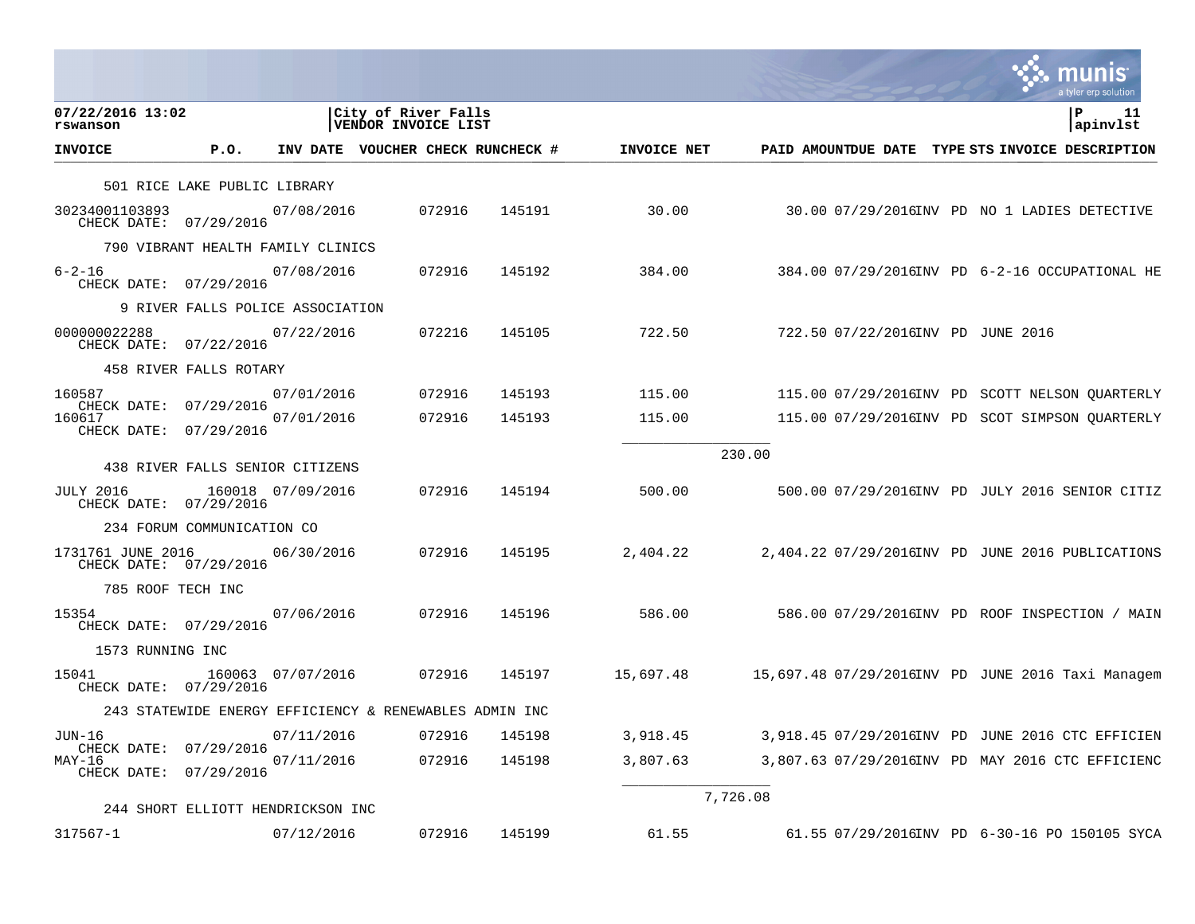|                                                 |                                   |                   |                                                        |        |             |          | a tyler erp solution                              |
|-------------------------------------------------|-----------------------------------|-------------------|--------------------------------------------------------|--------|-------------|----------|---------------------------------------------------|
| 07/22/2016 13:02<br>rswanson                    |                                   |                   | City of River Falls<br>VENDOR INVOICE LIST             |        |             |          | P<br>11<br>apinvlst                               |
| <b>INVOICE</b>                                  | P.0.                              |                   | INV DATE VOUCHER CHECK RUNCHECK #                      |        | INVOICE NET |          | PAID AMOUNTDUE DATE TYPE STS INVOICE DESCRIPTION  |
|                                                 | 501 RICE LAKE PUBLIC LIBRARY      |                   |                                                        |        |             |          |                                                   |
| 30234001103893<br>CHECK DATE: 07/29/2016        |                                   | 07/08/2016        | 072916                                                 | 145191 | 30.00       |          | 30.00 07/29/2016INV PD NO 1 LADIES DETECTIVE      |
|                                                 | 790 VIBRANT HEALTH FAMILY CLINICS |                   |                                                        |        |             |          |                                                   |
| $6 - 2 - 16$<br>CHECK DATE: 07/29/2016          |                                   | 07/08/2016        | 072916                                                 | 145192 | 384.00      |          | 384.00 07/29/2016INV PD 6-2-16 OCCUPATIONAL HE    |
|                                                 | 9 RIVER FALLS POLICE ASSOCIATION  |                   |                                                        |        |             |          |                                                   |
| 000000022288<br>CHECK DATE: 07/22/2016          |                                   | 07/22/2016        | 072216                                                 | 145105 | 722.50      |          | 722.50 07/22/2016INV PD JUNE 2016                 |
|                                                 | 458 RIVER FALLS ROTARY            |                   |                                                        |        |             |          |                                                   |
| 160587                                          |                                   | 07/01/2016        | 072916                                                 | 145193 | 115.00      |          | 115.00 07/29/2016INV PD SCOTT NELSON OUARTERLY    |
| CHECK DATE:<br>160617<br>CHECK DATE: 07/29/2016 | 07/29/2016                        | 07/01/2016        | 072916                                                 | 145193 | 115.00      |          | 115.00 07/29/2016INV PD SCOT SIMPSON QUARTERLY    |
|                                                 |                                   |                   |                                                        |        |             | 230.00   |                                                   |
|                                                 | 438 RIVER FALLS SENIOR CITIZENS   |                   |                                                        |        |             |          |                                                   |
| <b>JULY 2016</b><br>CHECK DATE: 07/29/2016      |                                   | 160018 07/09/2016 | 072916                                                 | 145194 | 500.00      |          | 500.00 07/29/2016INV PD JULY 2016 SENIOR CITIZ    |
|                                                 | 234 FORUM COMMUNICATION CO        |                   |                                                        |        |             |          |                                                   |
| 1731761 JUNE 2016<br>CHECK DATE: 07/29/2016     |                                   | 06/30/2016        | 072916                                                 | 145195 | 2,404.22    |          | 2,404.22 07/29/2016INV PD JUNE 2016 PUBLICATIONS  |
| 785 ROOF TECH INC                               |                                   |                   |                                                        |        |             |          |                                                   |
| 15354<br>CHECK DATE: 07/29/2016                 |                                   | 07/06/2016        | 072916                                                 | 145196 | 586.00      |          | 586.00 07/29/2016INV PD ROOF INSPECTION / MAIN    |
| 1573 RUNNING INC                                |                                   |                   |                                                        |        |             |          |                                                   |
| 15041<br>CHECK DATE: 07/29/2016                 |                                   | 160063 07/07/2016 | 072916                                                 | 145197 | 15,697.48   |          | 15,697.48 07/29/2016INV PD JUNE 2016 Taxi Managem |
|                                                 |                                   |                   | 243 STATEWIDE ENERGY EFFICIENCY & RENEWABLES ADMIN INC |        |             |          |                                                   |
| JUN-16                                          |                                   | 07/11/2016        | 072916                                                 | 145198 | 3,918.45    |          | 3,918.45 07/29/2016INV PD JUNE 2016 CTC EFFICIEN  |
| CHECK DATE:<br>MAY-16<br>CHECK DATE:            | 07/29/2016<br>07/29/2016          | 07/11/2016        | 072916                                                 | 145198 | 3,807.63    |          | 3,807.63 07/29/2016INV PD MAY 2016 CTC EFFICIENC  |
|                                                 | 244 SHORT ELLIOTT HENDRICKSON INC |                   |                                                        |        |             | 7,726.08 |                                                   |
| 317567-1                                        |                                   | 07/12/2016        | 072916                                                 | 145199 | 61.55       |          | 61.55 07/29/2016INV PD 6-30-16 PO 150105 SYCA     |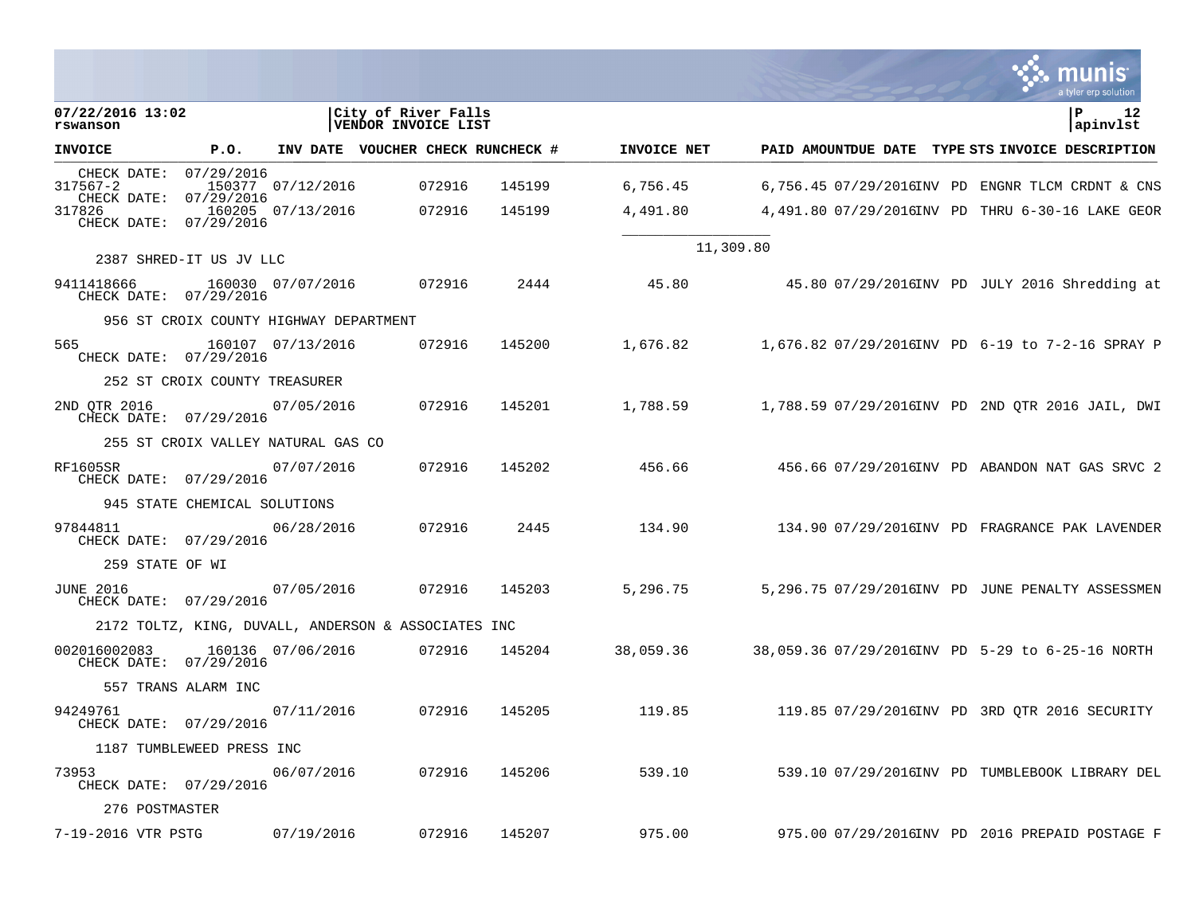|                                        |                                        |                   |                                                     |               |             |                                                  |  | a tyler erp solution |
|----------------------------------------|----------------------------------------|-------------------|-----------------------------------------------------|---------------|-------------|--------------------------------------------------|--|----------------------|
| 07/22/2016 13:02<br>rswanson           |                                        |                   | City of River Falls<br>VENDOR INVOICE LIST          |               |             |                                                  |  | P<br>12<br>apinvlst  |
| <b>INVOICE</b>                         | P.O.                                   |                   | INV DATE VOUCHER CHECK RUNCHECK #                   |               | INVOICE NET | PAID AMOUNTDUE DATE TYPE STS INVOICE DESCRIPTION |  |                      |
| CHECK DATE:<br>317567-2<br>CHECK DATE: | 07/29/2016<br>07/29/2016               | 150377 07/12/2016 | 072916                                              | 145199        | 6,756.45    | 6,756.45 07/29/2016INV PD ENGNR TLCM CRDNT & CNS |  |                      |
| 317826<br>CHECK DATE: 07/29/2016       |                                        | 160205 07/13/2016 | 072916                                              | 145199        | 4,491.80    | 4,491.80 07/29/2016INV PD THRU 6-30-16 LAKE GEOR |  |                      |
|                                        | 2387 SHRED-IT US JV LLC                |                   |                                                     |               |             | 11,309.80                                        |  |                      |
| 9411418666<br>CHECK DATE: 07/29/2016   | 160030 07/07/2016                      |                   | 072916                                              | 2444          | 45.80       | 45.80 07/29/2016INV PD JULY 2016 Shredding at    |  |                      |
|                                        | 956 ST CROIX COUNTY HIGHWAY DEPARTMENT |                   |                                                     |               |             |                                                  |  |                      |
| 565<br>CHECK DATE: 07/29/2016          |                                        | 160107 07/13/2016 | 072916                                              | 145200        | 1,676.82    | 1,676.82 07/29/2016INV PD 6-19 to 7-2-16 SPRAY P |  |                      |
|                                        | 252 ST CROIX COUNTY TREASURER          |                   |                                                     |               |             |                                                  |  |                      |
| 2ND QTR 2016<br>CHECK DATE: 07/29/2016 |                                        | 07/05/2016        | 072916                                              | 145201        | 1,788.59    | 1,788.59 07/29/2016INV PD 2ND QTR 2016 JAIL, DWI |  |                      |
|                                        | 255 ST CROIX VALLEY NATURAL GAS CO     |                   |                                                     |               |             |                                                  |  |                      |
| RF1605SR<br>CHECK DATE: 07/29/2016     |                                        | 07/07/2016        | 072916                                              | 145202        | 456.66      | 456.66  07/29/2016INV  PD ABANDON NAT GAS SRVC 2 |  |                      |
|                                        | 945 STATE CHEMICAL SOLUTIONS           |                   |                                                     |               |             |                                                  |  |                      |
| 97844811<br>CHECK DATE: 07/29/2016     |                                        | 06/28/2016        | 072916                                              | 2445          | 134.90      | 134.90 07/29/2016INV PD FRAGRANCE PAK LAVENDER   |  |                      |
| 259 STATE OF WI                        |                                        |                   |                                                     |               |             |                                                  |  |                      |
| JUNE 2016<br>CHECK DATE: 07/29/2016    |                                        | 07/05/2016        | 072916                                              | 145203        | 5,296.75    | 5,296.75 07/29/2016INV PD JUNE PENALTY ASSESSMEN |  |                      |
|                                        |                                        |                   | 2172 TOLTZ, KING, DUVALL, ANDERSON & ASSOCIATES INC |               |             |                                                  |  |                      |
| 002016002083<br>CHECK DATE: 07/29/2016 |                                        | 160136 07/06/2016 | 072916                                              | 145204        | 38,059.36   |                                                  |  |                      |
|                                        | 557 TRANS ALARM INC                    |                   |                                                     |               |             |                                                  |  |                      |
| 94249761<br>CHECK DATE: 07/29/2016     |                                        | 07/11/2016        | 072916                                              | 145205        | 119.85      | 119.85 07/29/2016INV PD 3RD QTR 2016 SECURITY    |  |                      |
|                                        | 1187 TUMBLEWEED PRESS INC              |                   |                                                     |               |             |                                                  |  |                      |
| 73953<br>CHECK DATE: 07/29/2016        |                                        | 06/07/2016        |                                                     | 072916 145206 | 539.10      | 539.10 07/29/2016INV PD TUMBLEBOOK LIBRARY DEL   |  |                      |
| 276 POSTMASTER                         |                                        |                   |                                                     |               |             |                                                  |  |                      |
| 7-19-2016 VTR PSTG                     |                                        | 07/19/2016        | 072916                                              | 145207        | 975.00      | 975.00 07/29/2016INV PD 2016 PREPAID POSTAGE F   |  |                      |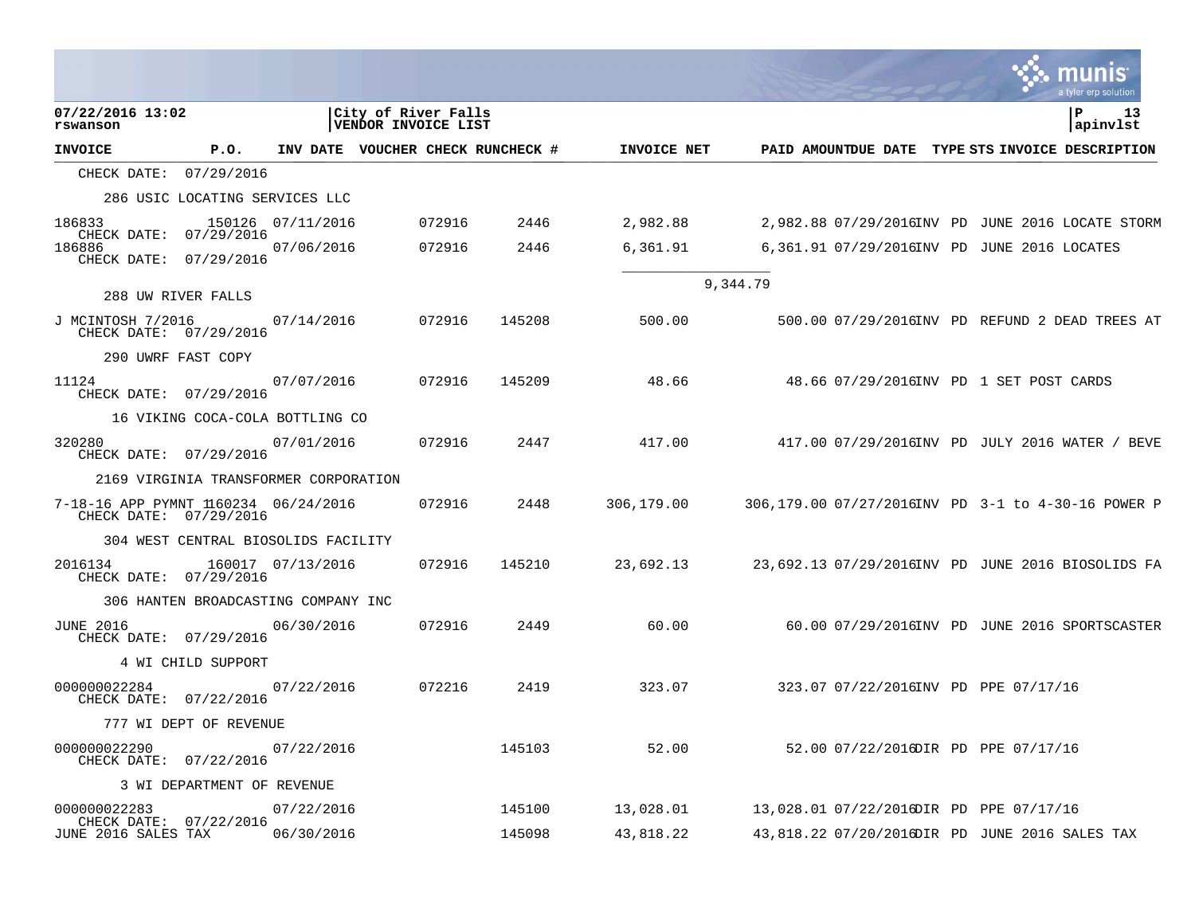|                                                                |                                       |                   |                                            |        |                                   |             |          |                                                  |  | a tyler erp solution                               |
|----------------------------------------------------------------|---------------------------------------|-------------------|--------------------------------------------|--------|-----------------------------------|-------------|----------|--------------------------------------------------|--|----------------------------------------------------|
| 07/22/2016 13:02<br>rswanson                                   |                                       |                   | City of River Falls<br>VENDOR INVOICE LIST |        |                                   |             |          |                                                  |  | 13<br>P<br>apinvlst                                |
| <b>INVOICE</b>                                                 | P.O.                                  |                   |                                            |        | INV DATE VOUCHER CHECK RUNCHECK # | INVOICE NET |          | PAID AMOUNTDUE DATE TYPE STS INVOICE DESCRIPTION |  |                                                    |
| CHECK DATE: 07/29/2016                                         |                                       |                   |                                            |        |                                   |             |          |                                                  |  |                                                    |
|                                                                | 286 USIC LOCATING SERVICES LLC        |                   |                                            |        |                                   |             |          |                                                  |  |                                                    |
| 186833<br>CHECK DATE: 07/29/2016                               |                                       | 150126 07/11/2016 |                                            | 072916 | 2446                              | 2,982.88    |          |                                                  |  | 2,982.88 07/29/2016INV PD JUNE 2016 LOCATE STORM   |
| 186886<br>CHECK DATE: 07/29/2016                               |                                       | 07/06/2016        |                                            | 072916 | 2446                              | 6,361.91    |          | 6,361.91 07/29/2016INV PD JUNE 2016 LOCATES      |  |                                                    |
|                                                                |                                       |                   |                                            |        |                                   |             | 9,344.79 |                                                  |  |                                                    |
|                                                                | 288 UW RIVER FALLS                    |                   |                                            |        |                                   |             |          |                                                  |  |                                                    |
| J MCINTOSH 7/2016<br>CHECK DATE: 07/29/2016                    |                                       | 07/14/2016        |                                            | 072916 | 145208                            | 500.00      |          |                                                  |  | 500.00 07/29/2016INV PD REFUND 2 DEAD TREES AT     |
|                                                                | 290 UWRF FAST COPY                    |                   |                                            |        |                                   |             |          |                                                  |  |                                                    |
| 11124<br>CHECK DATE: 07/29/2016                                |                                       | 07/07/2016        |                                            | 072916 | 145209                            | 48.66       |          | 48.66 07/29/2016INV PD 1 SET POST CARDS          |  |                                                    |
|                                                                | 16 VIKING COCA-COLA BOTTLING CO       |                   |                                            |        |                                   |             |          |                                                  |  |                                                    |
| 320280<br>CHECK DATE: 07/29/2016                               |                                       | 07/01/2016        |                                            | 072916 | 2447                              | 417.00      |          |                                                  |  | 417.00 07/29/2016INV PD JULY 2016 WATER / BEVE     |
|                                                                | 2169 VIRGINIA TRANSFORMER CORPORATION |                   |                                            |        |                                   |             |          |                                                  |  |                                                    |
| 7-18-16 APP PYMNT 1160234 06/24/2016<br>CHECK DATE: 07/29/2016 |                                       |                   |                                            | 072916 | 2448                              | 306,179.00  |          |                                                  |  | 306,179.00 07/27/2016INV PD 3-1 to 4-30-16 POWER P |
|                                                                | 304 WEST CENTRAL BIOSOLIDS FACILITY   |                   |                                            |        |                                   |             |          |                                                  |  |                                                    |
| 2016134<br>CHECK DATE: 07/29/2016                              |                                       | 160017 07/13/2016 |                                            | 072916 | 145210                            | 23,692.13   |          |                                                  |  | 23,692.13 07/29/2016INV PD JUNE 2016 BIOSOLIDS FA  |
|                                                                | 306 HANTEN BROADCASTING COMPANY INC   |                   |                                            |        |                                   |             |          |                                                  |  |                                                    |
| <b>JUNE 2016</b><br>CHECK DATE: 07/29/2016                     |                                       | 06/30/2016        |                                            | 072916 | 2449                              | 60.00       |          |                                                  |  | 60.00 07/29/2016INV PD JUNE 2016 SPORTSCASTER      |
|                                                                | 4 WI CHILD SUPPORT                    |                   |                                            |        |                                   |             |          |                                                  |  |                                                    |
| 000000022284<br>CHECK DATE: 07/22/2016                         |                                       | 07/22/2016        |                                            | 072216 | 2419                              | 323.07      |          | 323.07 07/22/2016INV PD PPE 07/17/16             |  |                                                    |
|                                                                | 777 WI DEPT OF REVENUE                |                   |                                            |        |                                   |             |          |                                                  |  |                                                    |
| 000000022290<br>CHECK DATE: 07/22/2016                         |                                       | 07/22/2016        |                                            |        | 145103                            | 52.00       |          | 52.00 07/22/2016DIR PD PPE 07/17/16              |  |                                                    |
|                                                                | 3 WI DEPARTMENT OF REVENUE            |                   |                                            |        |                                   |             |          |                                                  |  |                                                    |
| 000000022283                                                   |                                       | 07/22/2016        |                                            |        | 145100                            | 13,028.01   |          | 13,028.01 07/22/2016DIR PD PPE 07/17/16          |  |                                                    |
| CHECK DATE: 07/22/2016<br>JUNE 2016 SALES TAX                  |                                       | 06/30/2016        |                                            |        | 145098                            | 43,818.22   |          | 43,818.22 07/20/2016DIR PD JUNE 2016 SALES TAX   |  |                                                    |